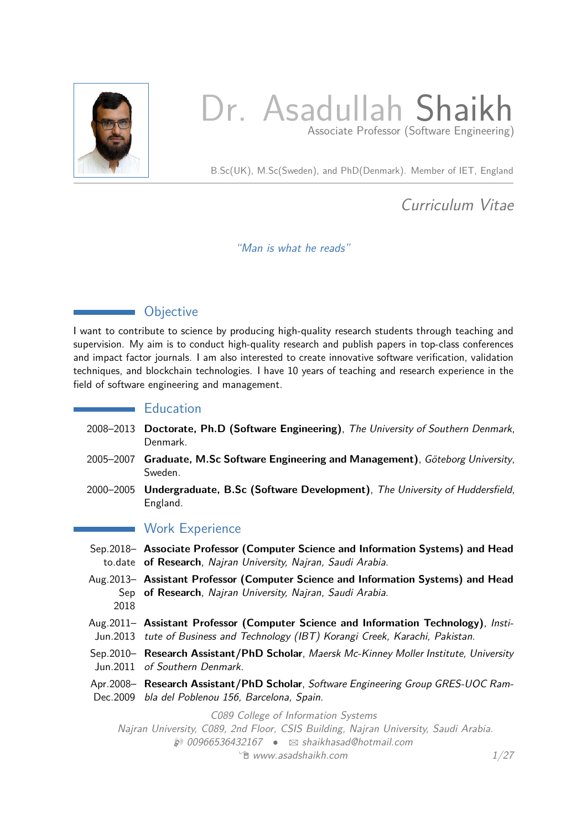

# Dr. Asadullah Shaikh Associate Professor (Software Engineering)

B.Sc(UK), M.Sc(Sweden), and PhD(Denmark). Member of IET, England

Curriculum Vitae

"Man is what he reads"

# **Objective**

I want to contribute to science by producing high-quality research students through teaching and supervision. My aim is to conduct high-quality research and publish papers in top-class conferences and impact factor journals. I am also interested to create innovative software verification, validation techniques, and blockchain technologies. I have 10 years of teaching and research experience in the field of software engineering and management.

# **Education**

- 2008–2013 **Doctorate, Ph.D (Software Engineering)**, The University of Southern Denmark, Denmark.
- 2005–2007 **Graduate, M.Sc Software Engineering and Management)**, Göteborg University, Sweden.
- 2000–2005 **Undergraduate, B.Sc (Software Development)**, The University of Huddersfield, England.

# **Work Experience**

- Sep.2018– **Associate Professor (Computer Science and Information Systems) and Head** to.date **of Research**, Najran University, Najran, Saudi Arabia.
- Aug.2013– **Assistant Professor (Computer Science and Information Systems) and Head** Sep **of Research**, Najran University, Najran, Saudi Arabia. 2018
- Aug.2011– **Assistant Professor (Computer Science and Information Technology)**, Insti-Jun.2013 tute of Business and Technology (IBT) Korangi Creek, Karachi, Pakistan.
- Sep.2010– **Research Assistant/PhD Scholar**, Maersk Mc-Kinney Moller Institute, University Jun.2011 of Southern Denmark.
- Apr.2008– **Research Assistant/PhD Scholar**, Software Engineering Group GRES-UOC Ram-Dec.2009 bla del Poblenou 156, Barcelona, Spain.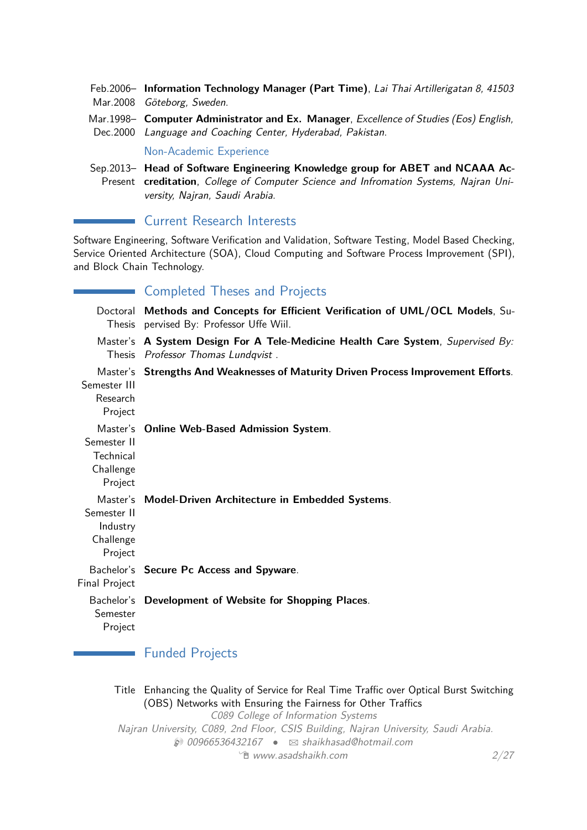- Feb.2006– **Information Technology Manager (Part Time)**, Lai Thai Artillerigatan 8, 41503 Mar.2008 Göteborg, Sweden.
- Mar.1998– **Computer Administrator and Ex. Manager**, Excellence of Studies (Eos) English, Dec.2000 Language and Coaching Center, Hyderabad, Pakistan.

Non-Academic Experience

Sep.2013– **Head of Software Engineering Knowledge group for ABET and NCAAA Ac-**Present **creditation**, College of Computer Science and Infromation Systems, Najran University, Najran, Saudi Arabia.

**Current Research Interests** 

Software Engineering, Software Verification and Validation, Software Testing, Model Based Checking, Service Oriented Architecture (SOA), Cloud Computing and Software Process Improvement (SPI), and Block Chain Technology.

|                                                             | <b>Completed Theses and Projects</b>                                                                                        |
|-------------------------------------------------------------|-----------------------------------------------------------------------------------------------------------------------------|
|                                                             | Doctoral Methods and Concepts for Efficient Verification of UML/OCL Models, Su-<br>Thesis pervised By: Professor Uffe Wiil. |
|                                                             | Master's A System Design For A Tele-Medicine Health Care System, Supervised By:<br>Thesis Professor Thomas Lundqvist.       |
| Semester III<br>Research<br>Project                         | Master's Strengths And Weaknesses of Maturity Driven Process Improvement Efforts.                                           |
| Semester II<br>Technical<br>Challenge<br>Project            | Master's Online Web-Based Admission System.                                                                                 |
| Master's<br>Semester II<br>Industry<br>Challenge<br>Project | <b>Model-Driven Architecture in Embedded Systems.</b>                                                                       |
| <b>Final Project</b>                                        | Bachelor's Secure Pc Access and Spyware.                                                                                    |
| Semester<br>Project                                         | Bachelor's Development of Website for Shopping Places.                                                                      |

# **Funded Projects**

Title Enhancing the Quality of Service for Real Time Traffic over Optical Burst Switching (OBS) Networks with Ensuring the Fairness for Other Traffics C089 College of Information Systems Najran University, C089, 2nd Floor, CSIS Building, Najran University, Saudi Arabia.  $\textcircled{1}$  00966536432167 •  $\textcircled{1}$  [shaikhasad@hotmail.com](mailto:shaikhasad@hotmail.com)  $\Theta$  [www.asadshaikh.com](http://www.asadshaikh.com)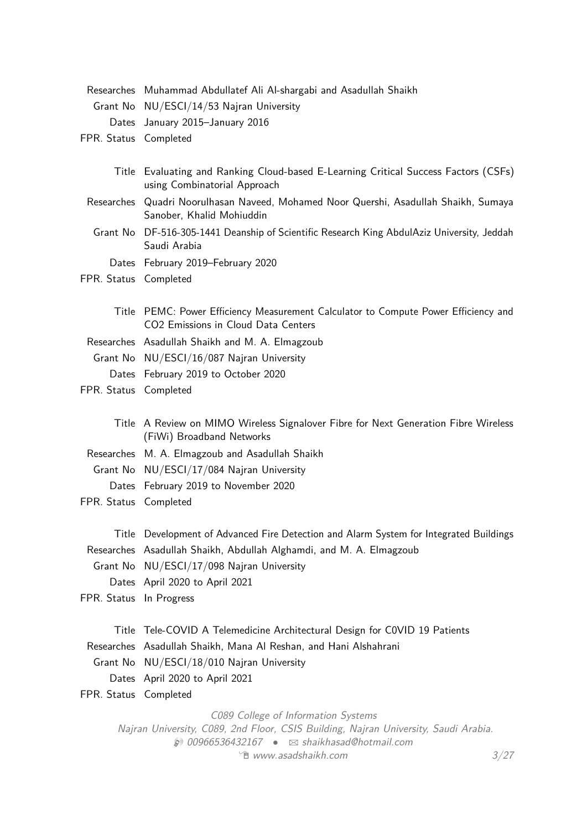|                         | Researches Muhammad Abdullatef Ali Al-shargabi and Asadullah Shaikh                                                                                                      |
|-------------------------|--------------------------------------------------------------------------------------------------------------------------------------------------------------------------|
|                         | Grant No NU/ESCI/14/53 Najran University                                                                                                                                 |
|                         | Dates January 2015-January 2016                                                                                                                                          |
| FPR. Status Completed   |                                                                                                                                                                          |
|                         |                                                                                                                                                                          |
|                         | Title Evaluating and Ranking Cloud-based E-Learning Critical Success Factors (CSFs)<br>using Combinatorial Approach                                                      |
|                         | Researches Quadri Noorulhasan Naveed, Mohamed Noor Quershi, Asadullah Shaikh, Sumaya<br>Sanober, Khalid Mohiuddin                                                        |
|                         | Grant No DF-516-305-1441 Deanship of Scientific Research King AbdulAziz University, Jeddah<br>Saudi Arabia                                                               |
|                         | Dates February 2019-February 2020                                                                                                                                        |
| FPR. Status Completed   |                                                                                                                                                                          |
|                         |                                                                                                                                                                          |
|                         | Title PEMC: Power Efficiency Measurement Calculator to Compute Power Efficiency and<br>CO2 Emissions in Cloud Data Centers                                               |
|                         | Researches Asadullah Shaikh and M. A. Elmagzoub                                                                                                                          |
|                         | Grant No NU/ESCI/16/087 Najran University                                                                                                                                |
|                         | Dates February 2019 to October 2020                                                                                                                                      |
| FPR. Status Completed   |                                                                                                                                                                          |
|                         |                                                                                                                                                                          |
|                         | Title A Review on MIMO Wireless Signalover Fibre for Next Generation Fibre Wireless<br>(FiWi) Broadband Networks                                                         |
|                         | Researches M. A. Elmagzoub and Asadullah Shaikh                                                                                                                          |
|                         | Grant No NU/ESCI/17/084 Najran University                                                                                                                                |
|                         | Dates February 2019 to November 2020                                                                                                                                     |
| FPR. Status Completed   |                                                                                                                                                                          |
|                         |                                                                                                                                                                          |
|                         | Title Development of Advanced Fire Detection and Alarm System for Integrated Buildings                                                                                   |
|                         | Researches Asadullah Shaikh, Abdullah Alghamdi, and M. A. Elmagzoub                                                                                                      |
|                         | Grant No NU/ESCI/17/098 Najran University                                                                                                                                |
|                         | Dates April 2020 to April 2021                                                                                                                                           |
| FPR. Status In Progress |                                                                                                                                                                          |
|                         | Title Tele-COVID A Telemedicine Architectural Design for COVID 19 Patients                                                                                               |
|                         | Researches Asadullah Shaikh, Mana Al Reshan, and Hani Alshahrani                                                                                                         |
|                         | Grant No NU/ESCI/18/010 Najran University                                                                                                                                |
|                         |                                                                                                                                                                          |
| FPR. Status Completed   | Dates April 2020 to April 2021                                                                                                                                           |
|                         |                                                                                                                                                                          |
|                         | C089 College of Information Systems<br>Najran University, C089, 2nd Floor, CSIS Building, Najran University, Saudi Arabia.<br>200966536432167 • ⊠ shaikhasad@hotmail.com |

 $\hat{E}$  [www.asadshaikh.com](http://www.asadshaikh.com)  $3/27$  $3/27$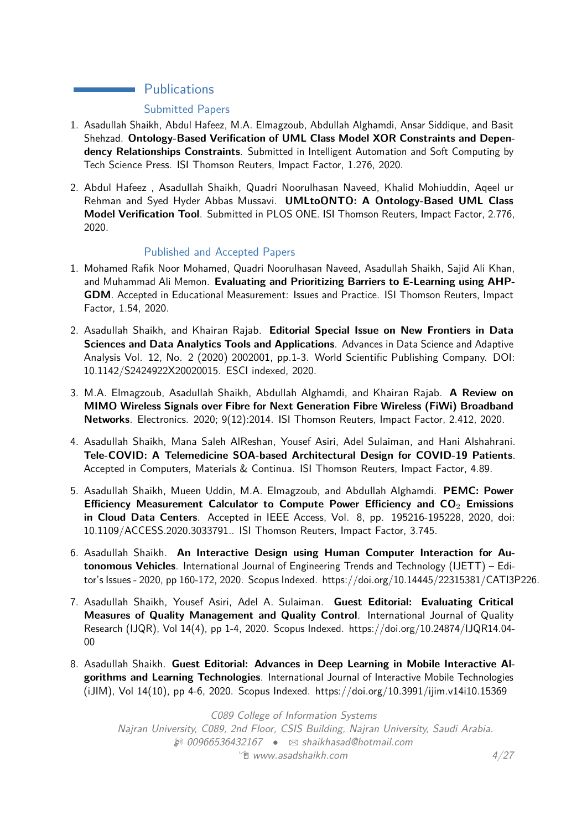# **Publications**

## Submitted Papers

- 1. Asadullah Shaikh, Abdul Hafeez, M.A. Elmagzoub, Abdullah Alghamdi, Ansar Siddique, and Basit Shehzad. **Ontology-Based Verification of UML Class Model XOR Constraints and Dependency Relationships Constraints**. Submitted in Intelligent Automation and Soft Computing by Tech Science Press. ISI Thomson Reuters, Impact Factor, 1.276, 2020.
- 2. Abdul Hafeez , Asadullah Shaikh, Quadri Noorulhasan Naveed, Khalid Mohiuddin, Aqeel ur Rehman and Syed Hyder Abbas Mussavi. **UMLtoONTO: A Ontology-Based UML Class Model Verification Tool**. Submitted in PLOS ONE. ISI Thomson Reuters, Impact Factor, 2.776, 2020.

## Published and Accepted Papers

- 1. Mohamed Rafik Noor Mohamed, Quadri Noorulhasan Naveed, Asadullah Shaikh, Sajid Ali Khan, and Muhammad Ali Memon. **Evaluating and Prioritizing Barriers to E-Learning using AHP-GDM**. Accepted in Educational Measurement: Issues and Practice. ISI Thomson Reuters, Impact Factor, 1.54, 2020.
- 2. Asadullah Shaikh, and Khairan Rajab. **Editorial Special Issue on New Frontiers in Data Sciences and Data Analytics Tools and Applications**. Advances in Data Science and Adaptive Analysis Vol. 12, No. 2 (2020) 2002001, pp.1-3. World Scientific Publishing Company. DOI: 10.1142/S2424922X20020015. ESCI indexed, 2020.
- 3. M.A. Elmagzoub, Asadullah Shaikh, Abdullah Alghamdi, and Khairan Rajab. **A Review on MIMO Wireless Signals over Fibre for Next Generation Fibre Wireless (FiWi) Broadband Networks**. Electronics. 2020; 9(12):2014. ISI Thomson Reuters, Impact Factor, 2.412, 2020.
- 4. Asadullah Shaikh, Mana Saleh AlReshan, Yousef Asiri, Adel Sulaiman, and Hani Alshahrani. **Tele-COVID: A Telemedicine SOA-based Architectural Design for COVID-19 Patients**. Accepted in Computers, Materials & Continua. ISI Thomson Reuters, Impact Factor, 4.89.
- 5. Asadullah Shaikh, Mueen Uddin, M.A. Elmagzoub, and Abdullah Alghamdi. **PEMC: Power Efficiency Measurement Calculator to Compute Power Efficiency and CO**<sup>2</sup> **Emissions in Cloud Data Centers**. Accepted in IEEE Access, Vol. 8, pp. 195216-195228, 2020, doi: 10.1109/ACCESS.2020.3033791.. ISI Thomson Reuters, Impact Factor, 3.745.
- 6. Asadullah Shaikh. **An Interactive Design using Human Computer Interaction for Autonomous Vehicles**. International Journal of Engineering Trends and Technology (IJETT) – Editor's Issues - 2020, pp 160-172, 2020. Scopus Indexed. https://doi.org/10.14445/22315381/CATI3P226.
- 7. Asadullah Shaikh, Yousef Asiri, Adel A. Sulaiman. **Guest Editorial: Evaluating Critical Measures of Quality Management and Quality Control**. International Journal of Quality Research (IJQR), Vol 14(4), pp 1-4, 2020. Scopus Indexed. https://doi.org/10.24874/IJQR14.04- 00
- 8. Asadullah Shaikh. **Guest Editorial: Advances in Deep Learning in Mobile Interactive Algorithms and Learning Technologies**. International Journal of Interactive Mobile Technologies (iJIM), Vol 14(10), pp 4-6, 2020. Scopus Indexed. https://doi.org/10.3991/ijim.v14i10.15369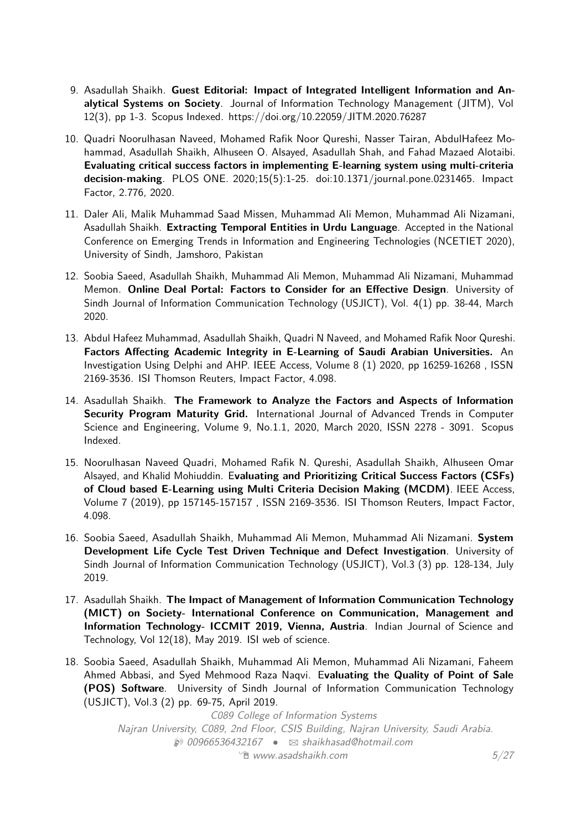- 9. Asadullah Shaikh. **Guest Editorial: Impact of Integrated Intelligent Information and Analytical Systems on Society**. Journal of Information Technology Management (JITM), Vol 12(3), pp 1-3. Scopus Indexed. https://doi.org/10.22059/JITM.2020.76287
- 10. Quadri Noorulhasan Naveed, Mohamed Rafik Noor Qureshi, Nasser Tairan, AbdulHafeez Mohammad, Asadullah Shaikh, Alhuseen O. Alsayed, Asadullah Shah, and Fahad Mazaed Alotaibi. **Evaluating critical success factors in implementing E-learning system using multi-criteria decision-making**. PLOS ONE. 2020;15(5):1-25. doi:10.1371/journal.pone.0231465. Impact Factor, 2.776, 2020.
- 11. Daler Ali, Malik Muhammad Saad Missen, Muhammad Ali Memon, Muhammad Ali Nizamani, Asadullah Shaikh. **Extracting Temporal Entities in Urdu Language**. Accepted in the National Conference on Emerging Trends in Information and Engineering Technologies (NCETIET 2020), University of Sindh, Jamshoro, Pakistan
- 12. Soobia Saeed, Asadullah Shaikh, Muhammad Ali Memon, Muhammad Ali Nizamani, Muhammad Memon. **Online Deal Portal: Factors to Consider for an Effective Design**. University of Sindh Journal of Information Communication Technology (USJICT), Vol. 4(1) pp. 38-44, March 2020.
- 13. Abdul Hafeez Muhammad, Asadullah Shaikh, Quadri N Naveed, and Mohamed Rafik Noor Qureshi. **Factors Affecting Academic Integrity in E-Learning of Saudi Arabian Universities.** An Investigation Using Delphi and AHP. IEEE Access, Volume 8 (1) 2020, pp 16259-16268 , ISSN 2169-3536. ISI Thomson Reuters, Impact Factor, 4.098.
- 14. Asadullah Shaikh. **The Framework to Analyze the Factors and Aspects of Information Security Program Maturity Grid.** International Journal of Advanced Trends in Computer Science and Engineering, Volume 9, No.1.1, 2020, March 2020, ISSN 2278 - 3091. Scopus Indexed.
- 15. Noorulhasan Naveed Quadri, Mohamed Rafik N. Qureshi, Asadullah Shaikh, Alhuseen Omar Alsayed, and Khalid Mohiuddin. E**valuating and Prioritizing Critical Success Factors (CSFs) of Cloud based E-Learning using Multi Criteria Decision Making (MCDM)**. IEEE Access, Volume 7 (2019), pp 157145-157157 , ISSN 2169-3536. ISI Thomson Reuters, Impact Factor, 4.098.
- 16. Soobia Saeed, Asadullah Shaikh, Muhammad Ali Memon, Muhammad Ali Nizamani. **System Development Life Cycle Test Driven Technique and Defect Investigation**. University of Sindh Journal of Information Communication Technology (USJICT), Vol.3 (3) pp. 128-134, July 2019.
- 17. Asadullah Shaikh. **The Impact of Management of Information Communication Technology (MICT) on Society- International Conference on Communication, Management and Information Technology- ICCMIT 2019, Vienna, Austria**. Indian Journal of Science and Technology, Vol 12(18), May 2019. ISI web of science.
- 18. Soobia Saeed, Asadullah Shaikh, Muhammad Ali Memon, Muhammad Ali Nizamani, Faheem Ahmed Abbasi, and Syed Mehmood Raza Naqvi. E**valuating the Quality of Point of Sale (POS) Software**. University of Sindh Journal of Information Communication Technology (USJICT), Vol.3 (2) pp. 69-75, April 2019.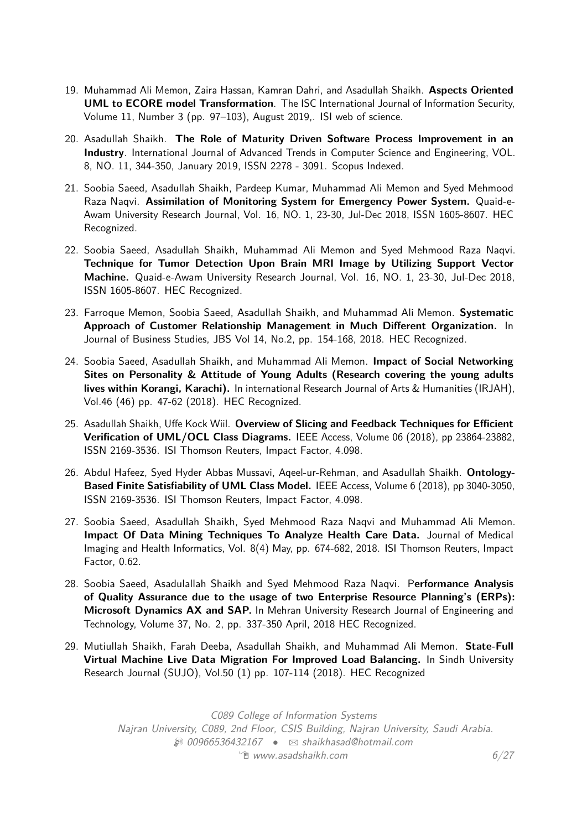- 19. Muhammad Ali Memon, Zaira Hassan, Kamran Dahri, and Asadullah Shaikh. **Aspects Oriented UML to ECORE model Transformation**. The ISC International Journal of Information Security, Volume 11, Number 3 (pp. 97–103), August 2019,. ISI web of science.
- 20. Asadullah Shaikh. **The Role of Maturity Driven Software Process Improvement in an Industry**. International Journal of Advanced Trends in Computer Science and Engineering, VOL. 8, NO. 11, 344-350, January 2019, ISSN 2278 - 3091. Scopus Indexed.
- 21. Soobia Saeed, Asadullah Shaikh, Pardeep Kumar, Muhammad Ali Memon and Syed Mehmood Raza Naqvi. **Assimilation of Monitoring System for Emergency Power System.** Quaid-e-Awam University Research Journal, Vol. 16, NO. 1, 23-30, Jul-Dec 2018, ISSN 1605-8607. HEC Recognized.
- 22. Soobia Saeed, Asadullah Shaikh, Muhammad Ali Memon and Syed Mehmood Raza Naqvi. **Technique for Tumor Detection Upon Brain MRI Image by Utilizing Support Vector Machine.** Quaid-e-Awam University Research Journal, Vol. 16, NO. 1, 23-30, Jul-Dec 2018, ISSN 1605-8607. HEC Recognized.
- 23. Farroque Memon, Soobia Saeed, Asadullah Shaikh, and Muhammad Ali Memon. **Systematic Approach of Customer Relationship Management in Much Different Organization.** In Journal of Business Studies, JBS Vol 14, No.2, pp. 154-168, 2018. HEC Recognized.
- 24. Soobia Saeed, Asadullah Shaikh, and Muhammad Ali Memon. **Impact of Social Networking Sites on Personality & Attitude of Young Adults (Research covering the young adults lives within Korangi, Karachi).** In international Research Journal of Arts & Humanities (IRJAH), Vol.46 (46) pp. 47-62 (2018). HEC Recognized.
- 25. Asadullah Shaikh, Uffe Kock Wiil. **Overview of Slicing and Feedback Techniques for Efficient Verification of UML/OCL Class Diagrams.** IEEE Access, Volume 06 (2018), pp 23864-23882, ISSN 2169-3536. ISI Thomson Reuters, Impact Factor, 4.098.
- 26. Abdul Hafeez, Syed Hyder Abbas Mussavi, Aqeel-ur-Rehman, and Asadullah Shaikh. **Ontology-Based Finite Satisfiability of UML Class Model.** IEEE Access, Volume 6 (2018), pp 3040-3050, ISSN 2169-3536. ISI Thomson Reuters, Impact Factor, 4.098.
- 27. Soobia Saeed, Asadullah Shaikh, Syed Mehmood Raza Naqvi and Muhammad Ali Memon. **Impact Of Data Mining Techniques To Analyze Health Care Data.** Journal of Medical Imaging and Health Informatics, Vol. 8(4) May, pp. 674-682, 2018. ISI Thomson Reuters, Impact Factor, 0.62.
- 28. Soobia Saeed, Asadulallah Shaikh and Syed Mehmood Raza Naqvi. P**erformance Analysis of Quality Assurance due to the usage of two Enterprise Resource Planning's (ERPs): Microsoft Dynamics AX and SAP.** In Mehran University Research Journal of Engineering and Technology, Volume 37, No. 2, pp. 337-350 April, 2018 HEC Recognized.
- 29. Mutiullah Shaikh, Farah Deeba, Asadullah Shaikh, and Muhammad Ali Memon. **State-Full Virtual Machine Live Data Migration For Improved Load Balancing.** In Sindh University Research Journal (SUJO), Vol.50 (1) pp. 107-114 (2018). HEC Recognized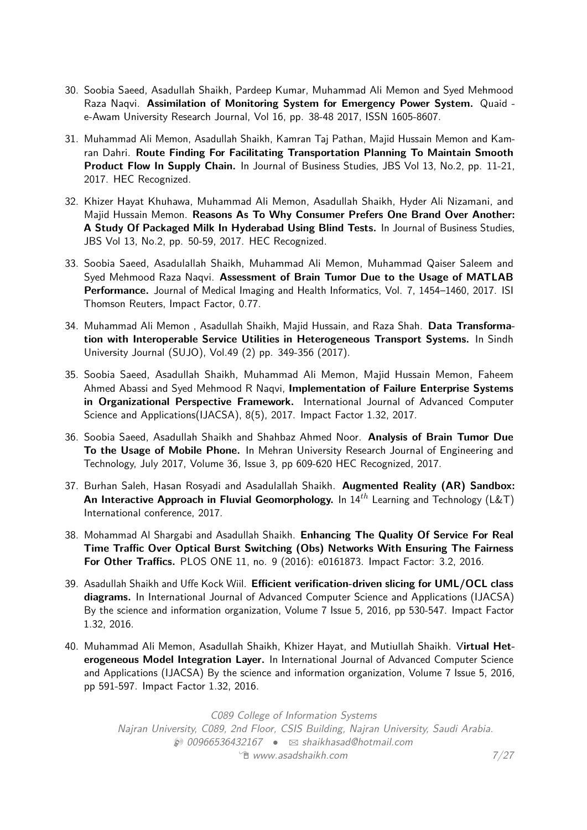- 30. Soobia Saeed, Asadullah Shaikh, Pardeep Kumar, Muhammad Ali Memon and Syed Mehmood Raza Naqvi. **Assimilation of Monitoring System for Emergency Power System.** Quaid e-Awam University Research Journal, Vol 16, pp. 38-48 2017, ISSN 1605-8607.
- 31. Muhammad Ali Memon, Asadullah Shaikh, Kamran Taj Pathan, Majid Hussain Memon and Kamran Dahri. **Route Finding For Facilitating Transportation Planning To Maintain Smooth Product Flow In Supply Chain.** In Journal of Business Studies, JBS Vol 13, No.2, pp. 11-21, 2017. HEC Recognized.
- 32. Khizer Hayat Khuhawa, Muhammad Ali Memon, Asadullah Shaikh, Hyder Ali Nizamani, and Majid Hussain Memon. **Reasons As To Why Consumer Prefers One Brand Over Another: A Study Of Packaged Milk In Hyderabad Using Blind Tests.** In Journal of Business Studies, JBS Vol 13, No.2, pp. 50-59, 2017. HEC Recognized.
- 33. Soobia Saeed, Asadulallah Shaikh, Muhammad Ali Memon, Muhammad Qaiser Saleem and Syed Mehmood Raza Naqvi. **Assessment of Brain Tumor Due to the Usage of MATLAB Performance.** Journal of Medical Imaging and Health Informatics, Vol. 7, 1454–1460, 2017. ISI Thomson Reuters, Impact Factor, 0.77.
- 34. Muhammad Ali Memon , Asadullah Shaikh, Majid Hussain, and Raza Shah. **Data Transformation with Interoperable Service Utilities in Heterogeneous Transport Systems.** In Sindh University Journal (SUJO), Vol.49 (2) pp. 349-356 (2017).
- 35. Soobia Saeed, Asadullah Shaikh, Muhammad Ali Memon, Majid Hussain Memon, Faheem Ahmed Abassi and Syed Mehmood R Naqvi, **Implementation of Failure Enterprise Systems in Organizational Perspective Framework.** International Journal of Advanced Computer Science and Applications(IJACSA), 8(5), 2017. Impact Factor 1.32, 2017.
- 36. Soobia Saeed, Asadullah Shaikh and Shahbaz Ahmed Noor. **Analysis of Brain Tumor Due To the Usage of Mobile Phone.** In Mehran University Research Journal of Engineering and Technology, July 2017, Volume 36, Issue 3, pp 609-620 HEC Recognized, 2017.
- 37. Burhan Saleh, Hasan Rosyadi and Asadulallah Shaikh. **Augmented Reality (AR) Sandbox: An Interactive Approach in Fluvial Geomorphology.** In 14*th* Learning and Technology (L&T) International conference, 2017.
- 38. Mohammad Al Shargabi and Asadullah Shaikh. **Enhancing The Quality Of Service For Real Time Traffic Over Optical Burst Switching (Obs) Networks With Ensuring The Fairness For Other Traffics.** PLOS ONE 11, no. 9 (2016): e0161873. Impact Factor: 3.2, 2016.
- 39. Asadullah Shaikh and Uffe Kock Wiil. **Efficient verification-driven slicing for UML/OCL class diagrams.** In International Journal of Advanced Computer Science and Applications (IJACSA) By the science and information organization, Volume 7 Issue 5, 2016, pp 530-547. Impact Factor 1.32, 2016.
- 40. Muhammad Ali Memon, Asadullah Shaikh, Khizer Hayat, and Mutiullah Shaikh. V**irtual Heterogeneous Model Integration Layer.** In International Journal of Advanced Computer Science and Applications (IJACSA) By the science and information organization, Volume 7 Issue 5, 2016, pp 591-597. Impact Factor 1.32, 2016.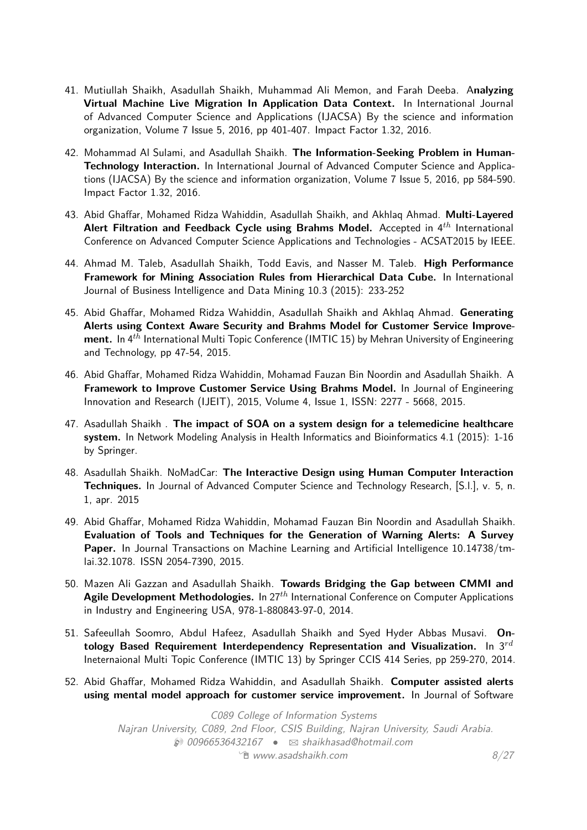- 41. Mutiullah Shaikh, Asadullah Shaikh, Muhammad Ali Memon, and Farah Deeba. A**nalyzing Virtual Machine Live Migration In Application Data Context.** In International Journal of Advanced Computer Science and Applications (IJACSA) By the science and information organization, Volume 7 Issue 5, 2016, pp 401-407. Impact Factor 1.32, 2016.
- 42. Mohammad Al Sulami, and Asadullah Shaikh. **The Information-Seeking Problem in Human-Technology Interaction.** In International Journal of Advanced Computer Science and Applications (IJACSA) By the science and information organization, Volume 7 Issue 5, 2016, pp 584-590. Impact Factor 1.32, 2016.
- 43. Abid Ghaffar, Mohamed Ridza Wahiddin, Asadullah Shaikh, and Akhlaq Ahmad. **Multi-Layered Alert Filtration and Feedback Cycle using Brahms Model.** Accepted in 4*th* International Conference on Advanced Computer Science Applications and Technologies - ACSAT2015 by IEEE.
- 44. Ahmad M. Taleb, Asadullah Shaikh, Todd Eavis, and Nasser M. Taleb. **High Performance Framework for Mining Association Rules from Hierarchical Data Cube.** In International Journal of Business Intelligence and Data Mining 10.3 (2015): 233-252
- 45. Abid Ghaffar, Mohamed Ridza Wahiddin, Asadullah Shaikh and Akhlaq Ahmad. **Generating Alerts using Context Aware Security and Brahms Model for Customer Service Improvement.** In 4*th* International Multi Topic Conference (IMTIC 15) by Mehran University of Engineering and Technology, pp 47-54, 2015.
- 46. Abid Ghaffar, Mohamed Ridza Wahiddin, Mohamad Fauzan Bin Noordin and Asadullah Shaikh. A **Framework to Improve Customer Service Using Brahms Model.** In Journal of Engineering Innovation and Research (IJEIT), 2015, Volume 4, Issue 1, ISSN: 2277 - 5668, 2015.
- 47. Asadullah Shaikh . **The impact of SOA on a system design for a telemedicine healthcare system.** In Network Modeling Analysis in Health Informatics and Bioinformatics 4.1 (2015): 1-16 by Springer.
- 48. Asadullah Shaikh. NoMadCar: **The Interactive Design using Human Computer Interaction Techniques.** In Journal of Advanced Computer Science and Technology Research, [S.l.], v. 5, n. 1, apr. 2015
- 49. Abid Ghaffar, Mohamed Ridza Wahiddin, Mohamad Fauzan Bin Noordin and Asadullah Shaikh. **Evaluation of Tools and Techniques for the Generation of Warning Alerts: A Survey Paper.** In Journal Transactions on Machine Learning and Artificial Intelligence 10.14738/tmlai.32.1078. ISSN 2054-7390, 2015.
- 50. Mazen Ali Gazzan and Asadullah Shaikh. **Towards Bridging the Gap between CMMI and Agile Development Methodologies.** In 27*th* International Conference on Computer Applications in Industry and Engineering USA, 978-1-880843-97-0, 2014.
- 51. Safeeullah Soomro, Abdul Hafeez, Asadullah Shaikh and Syed Hyder Abbas Musavi. **Ontology Based Requirement Interdependency Representation and Visualization.** In 3*rd* Ineternaional Multi Topic Conference (IMTIC 13) by Springer CCIS 414 Series, pp 259-270, 2014.
- 52. Abid Ghaffar, Mohamed Ridza Wahiddin, and Asadullah Shaikh. **Computer assisted alerts using mental model approach for customer service improvement.** In Journal of Software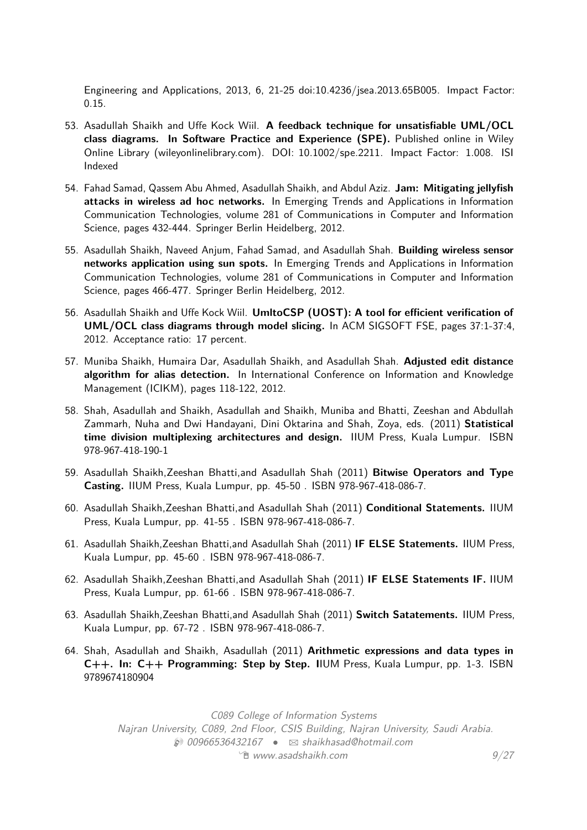Engineering and Applications, 2013, 6, 21-25 doi:10.4236/jsea.2013.65B005. Impact Factor: 0.15.

- 53. Asadullah Shaikh and Uffe Kock Wiil. **A feedback technique for unsatisfiable UML/OCL class diagrams. In Software Practice and Experience (SPE).** Published online in Wiley Online Library (wileyonlinelibrary.com). DOI: 10.1002/spe.2211. Impact Factor: 1.008. ISI Indexed
- 54. Fahad Samad, Qassem Abu Ahmed, Asadullah Shaikh, and Abdul Aziz. **Jam: Mitigating jellyfish attacks in wireless ad hoc networks.** In Emerging Trends and Applications in Information Communication Technologies, volume 281 of Communications in Computer and Information Science, pages 432-444. Springer Berlin Heidelberg, 2012.
- 55. Asadullah Shaikh, Naveed Anjum, Fahad Samad, and Asadullah Shah. **Building wireless sensor networks application using sun spots.** In Emerging Trends and Applications in Information Communication Technologies, volume 281 of Communications in Computer and Information Science, pages 466-477. Springer Berlin Heidelberg, 2012.
- 56. Asadullah Shaikh and Uffe Kock Wiil. **UmltoCSP (UOST): A tool for efficient verification of UML/OCL class diagrams through model slicing.** In ACM SIGSOFT FSE, pages 37:1-37:4, 2012. Acceptance ratio: 17 percent.
- 57. Muniba Shaikh, Humaira Dar, Asadullah Shaikh, and Asadullah Shah. **Adjusted edit distance algorithm for alias detection.** In International Conference on Information and Knowledge Management (ICIKM), pages 118-122, 2012.
- 58. Shah, Asadullah and Shaikh, Asadullah and Shaikh, Muniba and Bhatti, Zeeshan and Abdullah Zammarh, Nuha and Dwi Handayani, Dini Oktarina and Shah, Zoya, eds. (2011) **Statistical time division multiplexing architectures and design.** IIUM Press, Kuala Lumpur. ISBN 978-967-418-190-1
- 59. Asadullah Shaikh,Zeeshan Bhatti,and Asadullah Shah (2011) **Bitwise Operators and Type Casting.** IIUM Press, Kuala Lumpur, pp. 45-50 . ISBN 978-967-418-086-7.
- 60. Asadullah Shaikh,Zeeshan Bhatti,and Asadullah Shah (2011) **Conditional Statements.** IIUM Press, Kuala Lumpur, pp. 41-55 . ISBN 978-967-418-086-7.
- 61. Asadullah Shaikh,Zeeshan Bhatti,and Asadullah Shah (2011) **IF ELSE Statements.** IIUM Press, Kuala Lumpur, pp. 45-60 . ISBN 978-967-418-086-7.
- 62. Asadullah Shaikh,Zeeshan Bhatti,and Asadullah Shah (2011) **IF ELSE Statements IF.** IIUM Press, Kuala Lumpur, pp. 61-66 . ISBN 978-967-418-086-7.
- 63. Asadullah Shaikh,Zeeshan Bhatti,and Asadullah Shah (2011) **Switch Satatements.** IIUM Press, Kuala Lumpur, pp. 67-72 . ISBN 978-967-418-086-7.
- 64. Shah, Asadullah and Shaikh, Asadullah (2011) **Arithmetic expressions and data types in C++. In: C++ Programming: Step by Step. I**IUM Press, Kuala Lumpur, pp. 1-3. ISBN 9789674180904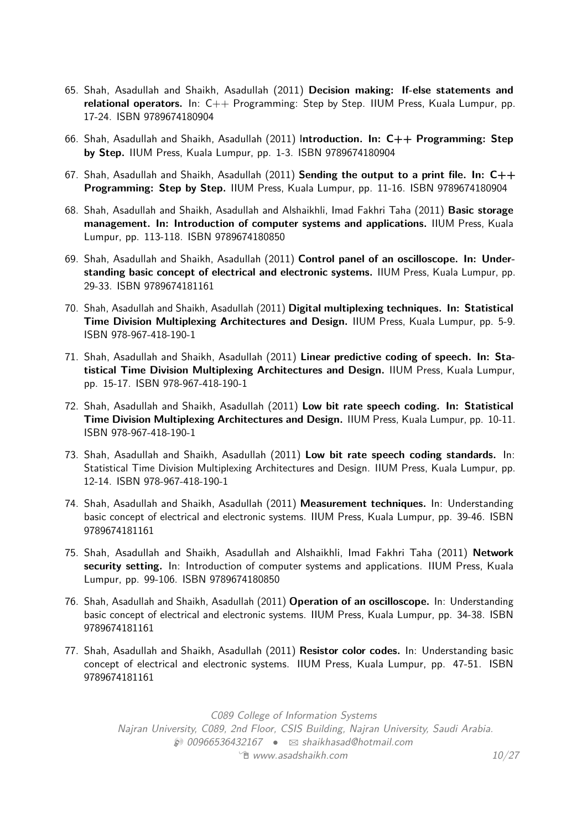- 65. Shah, Asadullah and Shaikh, Asadullah (2011) **Decision making: If-else statements and relational operators.** In: C++ Programming: Step by Step. IIUM Press, Kuala Lumpur, pp. 17-24. ISBN 9789674180904
- 66. Shah, Asadullah and Shaikh, Asadullah (2011) I**ntroduction. In: C++ Programming: Step by Step.** IIUM Press, Kuala Lumpur, pp. 1-3. ISBN 9789674180904
- 67. Shah, Asadullah and Shaikh, Asadullah (2011) **Sending the output to a print file. In: C++ Programming: Step by Step.** IIUM Press, Kuala Lumpur, pp. 11-16. ISBN 9789674180904
- 68. Shah, Asadullah and Shaikh, Asadullah and Alshaikhli, Imad Fakhri Taha (2011) **Basic storage management. In: Introduction of computer systems and applications.** IIUM Press, Kuala Lumpur, pp. 113-118. ISBN 9789674180850
- 69. Shah, Asadullah and Shaikh, Asadullah (2011) **Control panel of an oscilloscope. In: Understanding basic concept of electrical and electronic systems.** IIUM Press, Kuala Lumpur, pp. 29-33. ISBN 9789674181161
- 70. Shah, Asadullah and Shaikh, Asadullah (2011) **Digital multiplexing techniques. In: Statistical Time Division Multiplexing Architectures and Design.** IIUM Press, Kuala Lumpur, pp. 5-9. ISBN 978-967-418-190-1
- 71. Shah, Asadullah and Shaikh, Asadullah (2011) **Linear predictive coding of speech. In: Statistical Time Division Multiplexing Architectures and Design.** IIUM Press, Kuala Lumpur, pp. 15-17. ISBN 978-967-418-190-1
- 72. Shah, Asadullah and Shaikh, Asadullah (2011) **Low bit rate speech coding. In: Statistical Time Division Multiplexing Architectures and Design.** IIUM Press, Kuala Lumpur, pp. 10-11. ISBN 978-967-418-190-1
- 73. Shah, Asadullah and Shaikh, Asadullah (2011) **Low bit rate speech coding standards.** In: Statistical Time Division Multiplexing Architectures and Design. IIUM Press, Kuala Lumpur, pp. 12-14. ISBN 978-967-418-190-1
- 74. Shah, Asadullah and Shaikh, Asadullah (2011) **Measurement techniques.** In: Understanding basic concept of electrical and electronic systems. IIUM Press, Kuala Lumpur, pp. 39-46. ISBN 9789674181161
- 75. Shah, Asadullah and Shaikh, Asadullah and Alshaikhli, Imad Fakhri Taha (2011) **Network security setting.** In: Introduction of computer systems and applications. IIUM Press, Kuala Lumpur, pp. 99-106. ISBN 9789674180850
- 76. Shah, Asadullah and Shaikh, Asadullah (2011) **Operation of an oscilloscope.** In: Understanding basic concept of electrical and electronic systems. IIUM Press, Kuala Lumpur, pp. 34-38. ISBN 9789674181161
- 77. Shah, Asadullah and Shaikh, Asadullah (2011) **Resistor color codes.** In: Understanding basic concept of electrical and electronic systems. IIUM Press, Kuala Lumpur, pp. 47-51. ISBN 9789674181161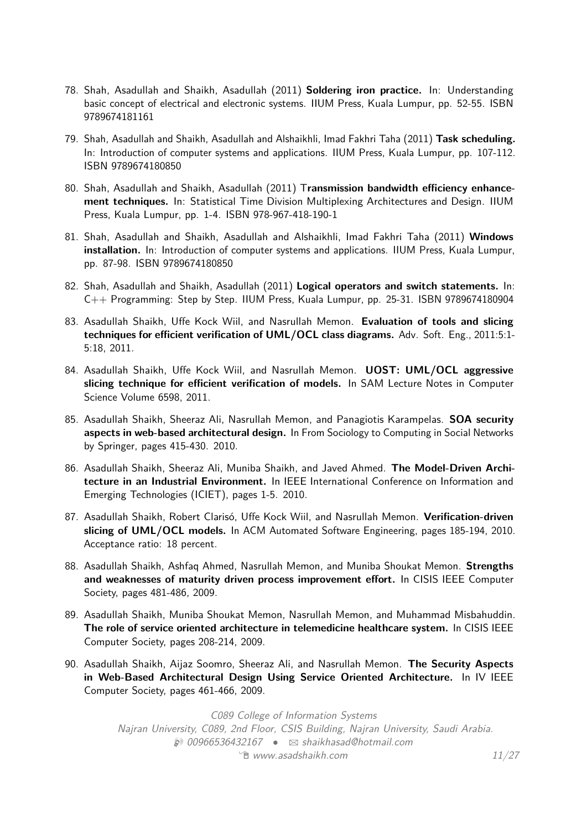- 78. Shah, Asadullah and Shaikh, Asadullah (2011) **Soldering iron practice.** In: Understanding basic concept of electrical and electronic systems. IIUM Press, Kuala Lumpur, pp. 52-55. ISBN 9789674181161
- 79. Shah, Asadullah and Shaikh, Asadullah and Alshaikhli, Imad Fakhri Taha (2011) **Task scheduling.** In: Introduction of computer systems and applications. IIUM Press, Kuala Lumpur, pp. 107-112. ISBN 9789674180850
- 80. Shah, Asadullah and Shaikh, Asadullah (2011) T**ransmission bandwidth efficiency enhancement techniques.** In: Statistical Time Division Multiplexing Architectures and Design. IIUM Press, Kuala Lumpur, pp. 1-4. ISBN 978-967-418-190-1
- 81. Shah, Asadullah and Shaikh, Asadullah and Alshaikhli, Imad Fakhri Taha (2011) **Windows installation.** In: Introduction of computer systems and applications. IIUM Press, Kuala Lumpur, pp. 87-98. ISBN 9789674180850
- 82. Shah, Asadullah and Shaikh, Asadullah (2011) **Logical operators and switch statements.** In: C++ Programming: Step by Step. IIUM Press, Kuala Lumpur, pp. 25-31. ISBN 9789674180904
- 83. Asadullah Shaikh, Uffe Kock Wiil, and Nasrullah Memon. **Evaluation of tools and slicing techniques for efficient verification of UML/OCL class diagrams.** Adv. Soft. Eng., 2011:5:1- 5:18, 2011.
- 84. Asadullah Shaikh, Uffe Kock Wiil, and Nasrullah Memon. **UOST: UML/OCL aggressive slicing technique for efficient verification of models.** In SAM Lecture Notes in Computer Science Volume 6598, 2011.
- 85. Asadullah Shaikh, Sheeraz Ali, Nasrullah Memon, and Panagiotis Karampelas. **SOA security aspects in web-based architectural design.** In From Sociology to Computing in Social Networks by Springer, pages 415-430. 2010.
- 86. Asadullah Shaikh, Sheeraz Ali, Muniba Shaikh, and Javed Ahmed. **The Model-Driven Architecture in an Industrial Environment.** In IEEE International Conference on Information and Emerging Technologies (ICIET), pages 1-5. 2010.
- 87. Asadullah Shaikh, Robert Clarisó, Uffe Kock Wiil, and Nasrullah Memon. **Verification-driven slicing of UML/OCL models.** In ACM Automated Software Engineering, pages 185-194, 2010. Acceptance ratio: 18 percent.
- 88. Asadullah Shaikh, Ashfaq Ahmed, Nasrullah Memon, and Muniba Shoukat Memon. **Strengths and weaknesses of maturity driven process improvement effort.** In CISIS IEEE Computer Society, pages 481-486, 2009.
- 89. Asadullah Shaikh, Muniba Shoukat Memon, Nasrullah Memon, and Muhammad Misbahuddin. **The role of service oriented architecture in telemedicine healthcare system.** In CISIS IEEE Computer Society, pages 208-214, 2009.
- 90. Asadullah Shaikh, Aijaz Soomro, Sheeraz Ali, and Nasrullah Memon. **The Security Aspects in Web-Based Architectural Design Using Service Oriented Architecture.** In IV IEEE Computer Society, pages 461-466, 2009.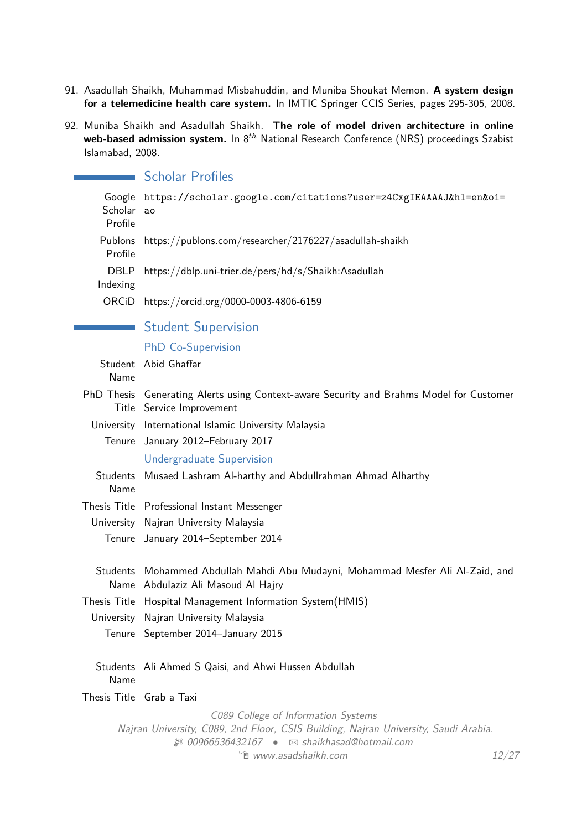- 91. Asadullah Shaikh, Muhammad Misbahuddin, and Muniba Shoukat Memon. **A system design for a telemedicine health care system.** In IMTIC Springer CCIS Series, pages 295-305, 2008.
- 92. Muniba Shaikh and Asadullah Shaikh. **The role of model driven architecture in online web-based admission system.** In 8*th* National Research Conference (NRS) proceedings Szabist Islamabad, 2008.

|                              | <b>Scholar Profiles</b>                                                                                                                                                                               |       |
|------------------------------|-------------------------------------------------------------------------------------------------------------------------------------------------------------------------------------------------------|-------|
| Google<br>Scholar<br>Profile | https://scholar.google.com/citations?user=z4CxgIEAAAAJ&hl=en&oi=<br>ao                                                                                                                                |       |
| Publons<br>Profile           | https://publons.com/researcher/2176227/asadullah-shaikh                                                                                                                                               |       |
| <b>DBLP</b><br>Indexing      | https://dblp.uni-trier.de/pers/hd/s/Shaikh:Asadullah                                                                                                                                                  |       |
| ORCiD                        | https://orcid.org/0000-0003-4806-6159                                                                                                                                                                 |       |
|                              | <b>Student Supervision</b>                                                                                                                                                                            |       |
|                              | <b>PhD Co-Supervision</b>                                                                                                                                                                             |       |
| Name                         | Student Abid Ghaffar                                                                                                                                                                                  |       |
|                              | PhD Thesis Generating Alerts using Context-aware Security and Brahms Model for Customer<br>Title Service Improvement                                                                                  |       |
|                              | University International Islamic University Malaysia                                                                                                                                                  |       |
|                              | Tenure January 2012-February 2017                                                                                                                                                                     |       |
|                              | <b>Undergraduate Supervision</b>                                                                                                                                                                      |       |
| Students<br>Name             | Musaed Lashram Al-harthy and Abdullrahman Ahmad Alharthy                                                                                                                                              |       |
|                              | Thesis Title Professional Instant Messenger                                                                                                                                                           |       |
|                              | University Najran University Malaysia                                                                                                                                                                 |       |
|                              | Tenure January 2014-September 2014                                                                                                                                                                    |       |
|                              | Students Mohammed Abdullah Mahdi Abu Mudayni, Mohammad Mesfer Ali Al-Zaid, and<br>Name Abdulaziz Ali Masoud Al Hajry                                                                                  |       |
|                              | Thesis Title Hospital Management Information System(HMIS)                                                                                                                                             |       |
|                              | University Najran University Malaysia                                                                                                                                                                 |       |
|                              | Tenure September 2014-January 2015                                                                                                                                                                    |       |
| Name                         | Students Ali Ahmed S Qaisi, and Ahwi Hussen Abdullah                                                                                                                                                  |       |
| Thesis Title Grab a Taxi     |                                                                                                                                                                                                       |       |
|                              | C089 College of Information Systems<br>Najran University, C089, 2nd Floor, CSIS Building, Najran University, Saudi Arabia.<br>$\circledR$ 00966536432167 $\bullet$ $\boxtimes$ shaikhasad@hotmail.com |       |
|                              | <sup>"</sup> www.asadshaikh.com                                                                                                                                                                       | 12/27 |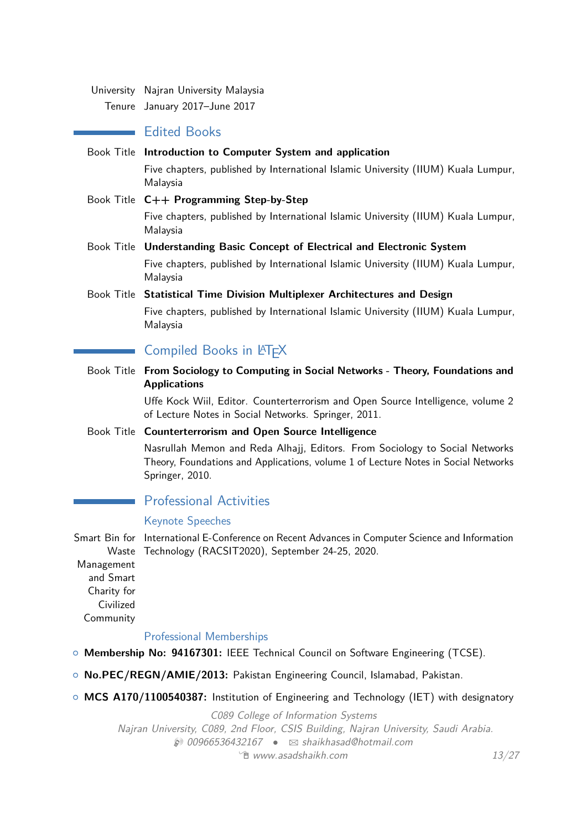University Najran University Malaysia

Tenure January 2017–June 2017

# **E** Edited Books

Book Title **Introduction to Computer System and application**

Five chapters, published by International Islamic University (IIUM) Kuala Lumpur, Malaysia

Book Title **C++ Programming Step-by-Step** Five chapters, published by International Islamic University (IIUM) Kuala Lumpur, Malaysia

- Book Title **Understanding Basic Concept of Electrical and Electronic System** Five chapters, published by International Islamic University (IIUM) Kuala Lumpur, Malaysia
- Book Title **Statistical Time Division Multiplexer Architectures and Design** Five chapters, published by International Islamic University (IIUM) Kuala Lumpur, Malaysia

# Compiled Books in LATEX

Book Title **From Sociology to Computing in Social Networks - Theory, Foundations and Applications**

> Uffe Kock Wiil, Editor. Counterterrorism and Open Source Intelligence, volume 2 of Lecture Notes in Social Networks. Springer, 2011.

Book Title **Counterterrorism and Open Source Intelligence**

Nasrullah Memon and Reda Alhajj, Editors. From Sociology to Social Networks Theory, Foundations and Applications, volume 1 of Lecture Notes in Social Networks Springer, 2010.

# Professional Activities

## Keynote Speeches

Smart Bin for International E-Conference on Recent Advances in Computer Science and Information Waste Technology (RACSIT2020), September 24-25, 2020.

Management and Smart Charity for Civilized Community

## Professional Memberships

- { **Membership No: 94167301:** IEEE Technical Council on Software Engineering (TCSE).
- { **No.PEC/REGN/AMIE/2013:** Pakistan Engineering Council, Islamabad, Pakistan.
- { **MCS A170/1100540387:** Institution of Engineering and Technology (IET) with designatory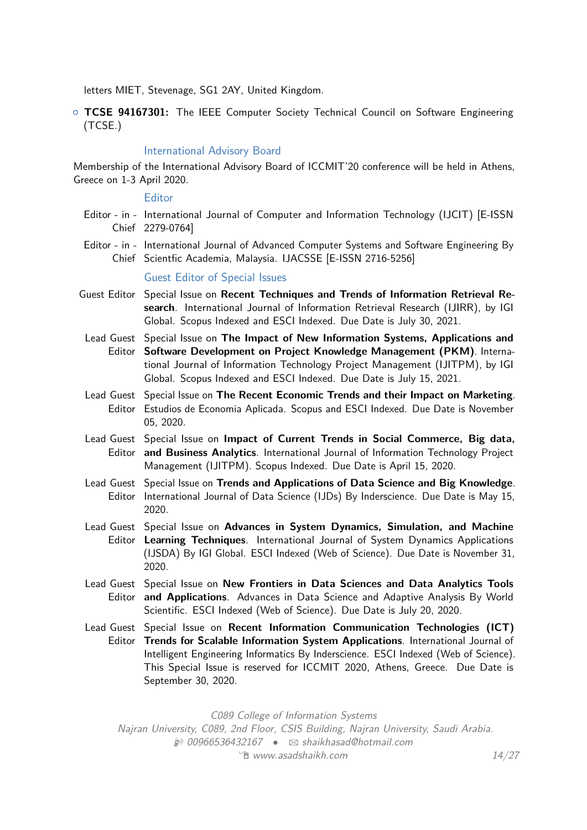letters MIET, Stevenage, SG1 2AY, United Kingdom.

{ **TCSE 94167301:** The IEEE Computer Society Technical Council on Software Engineering (TCSE.)

#### International Advisory Board

Membership of the International Advisory Board of ICCMIT'20 conference will be held in Athens, Greece on 1-3 April 2020.

#### **Editor**

- Editor in International Journal of Computer and Information Technology (IJCIT) [E-ISSN Chief 2279-0764]
- Editor in International Journal of Advanced Computer Systems and Software Engineering By Chief Scientfic Academia, Malaysia. IJACSSE [E-ISSN 2716-5256]

#### Guest Editor of Special Issues

- Guest Editor Special Issue on **Recent Techniques and Trends of Information Retrieval Research**. International Journal of Information Retrieval Research (IJIRR), by IGI Global. Scopus Indexed and ESCI Indexed. Due Date is July 30, 2021.
	- Lead Guest Special Issue on **The Impact of New Information Systems, Applications and** Editor **Software Development on Project Knowledge Management (PKM)**. International Journal of Information Technology Project Management (IJITPM), by IGI Global. Scopus Indexed and ESCI Indexed. Due Date is July 15, 2021.
	- Lead Guest Special Issue on **The Recent Economic Trends and their Impact on Marketing**. Editor Estudios de Economia Aplicada. Scopus and ESCI Indexed. Due Date is November 05, 2020.
	- Lead Guest Special Issue on **Impact of Current Trends in Social Commerce, Big data,** Editor **and Business Analytics**. International Journal of Information Technology Project Management (IJITPM). Scopus Indexed. Due Date is April 15, 2020.
	- Lead Guest Special Issue on **Trends and Applications of Data Science and Big Knowledge**. Editor International Journal of Data Science (IJDs) By Inderscience. Due Date is May 15, 2020.
	- Lead Guest Special Issue on **Advances in System Dynamics, Simulation, and Machine** Editor **Learning Techniques**. International Journal of System Dynamics Applications (IJSDA) By IGI Global. ESCI Indexed (Web of Science). Due Date is November 31, 2020.
	- Lead Guest Special Issue on **New Frontiers in Data Sciences and Data Analytics Tools** Editor **and Applications**. Advances in Data Science and Adaptive Analysis By World Scientific. ESCI Indexed (Web of Science). Due Date is July 20, 2020.
	- Lead Guest Special Issue on **Recent Information Communication Technologies (ICT)** Editor **Trends for Scalable Information System Applications**. International Journal of Intelligent Engineering Informatics By Inderscience. ESCI Indexed (Web of Science). This Special Issue is reserved for ICCMIT 2020, Athens, Greece. Due Date is September 30, 2020.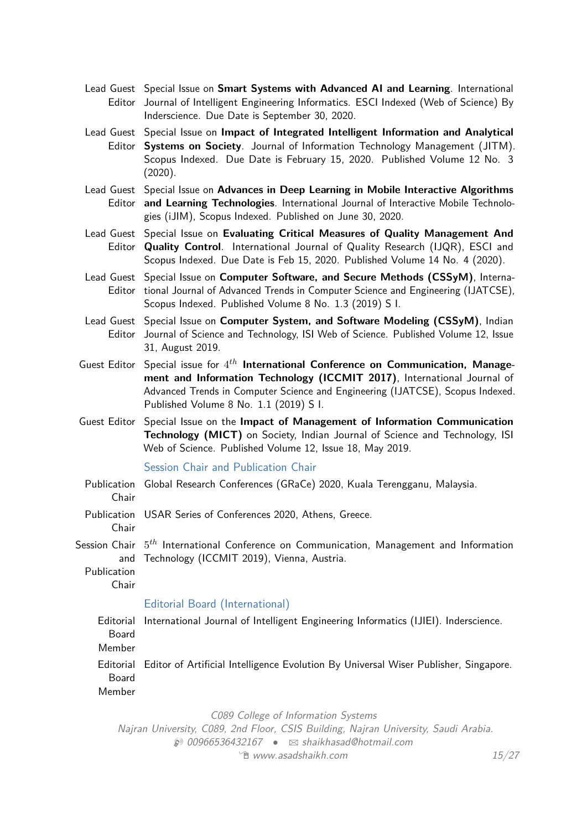- Lead Guest Special Issue on **Smart Systems with Advanced AI and Learning**. International Editor Journal of Intelligent Engineering Informatics. ESCI Indexed (Web of Science) By Inderscience. Due Date is September 30, 2020.
- Lead Guest Special Issue on **Impact of Integrated Intelligent Information and Analytical** Editor **Systems on Society**. Journal of Information Technology Management (JITM). Scopus Indexed. Due Date is February 15, 2020. Published Volume 12 No. 3 (2020).
- Lead Guest Special Issue on **Advances in Deep Learning in Mobile Interactive Algorithms** Editor **and Learning Technologies**. International Journal of Interactive Mobile Technologies (iJIM), Scopus Indexed. Published on June 30, 2020.
- Lead Guest Special Issue on **Evaluating Critical Measures of Quality Management And** Editor **Quality Control**. International Journal of Quality Research (IJQR), ESCI and Scopus Indexed. Due Date is Feb 15, 2020. Published Volume 14 No. 4 (2020).
- Lead Guest Special Issue on **Computer Software, and Secure Methods (CSSyM)**, Interna-Editor tional Journal of Advanced Trends in Computer Science and Engineering (IJATCSE), Scopus Indexed. Published Volume 8 No. 1.3 (2019) S I.
- Lead Guest Special Issue on **Computer System, and Software Modeling (CSSyM)**, Indian Editor Journal of Science and Technology, ISI Web of Science. Published Volume 12, Issue 31, August 2019.
- Guest Editor Special issue for  $4^{th}$  International Conference on Communication, Manage**ment and Information Technology (ICCMIT 2017)**, International Journal of Advanced Trends in Computer Science and Engineering (IJATCSE), Scopus Indexed. Published Volume 8 No. 1.1 (2019) S I.
- Guest Editor Special Issue on the **Impact of Management of Information Communication Technology (MICT)** on Society, Indian Journal of Science and Technology, ISI Web of Science. Published Volume 12, Issue 18, May 2019.

#### Session Chair and Publication Chair

- Publication Global Research Conferences (GRaCe) 2020, Kuala Terengganu, Malaysia. Chair Publication USAR Series of Conferences 2020, Athens, Greece. Chair
- Session Chair 5 *th* International Conference on Communication, Management and Information and Technology (ICCMIT 2019), Vienna, Austria.

Publication Chair

## Editorial Board (International)

Editorial International Journal of Intelligent Engineering Informatics (IJIEI). Inderscience. Board Member Editorial Editor of Artificial Intelligence Evolution By Universal Wiser Publisher, Singapore. Board Member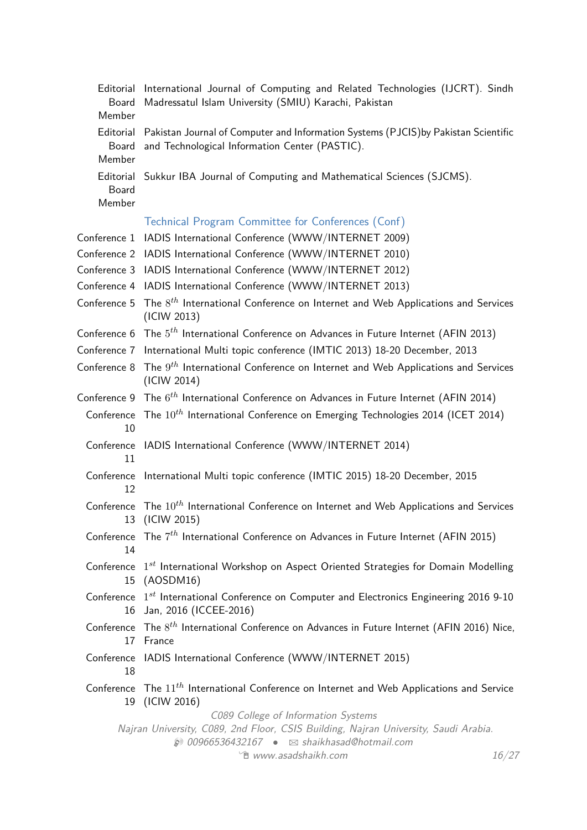| Editorial<br>Board<br>Member | International Journal of Computing and Related Technologies (IJCRT). Sindh<br>Madressatul Islam University (SMIU) Karachi, Pakistan                                                                                  |
|------------------------------|----------------------------------------------------------------------------------------------------------------------------------------------------------------------------------------------------------------------|
| Board<br>Member              | Editorial Pakistan Journal of Computer and Information Systems (PJCIS) by Pakistan Scientific<br>and Technological Information Center (PASTIC).                                                                      |
| Board<br>Member              | Editorial Sukkur IBA Journal of Computing and Mathematical Sciences (SJCMS).                                                                                                                                         |
|                              | Technical Program Committee for Conferences (Conf)                                                                                                                                                                   |
|                              | Conference 1 IADIS International Conference (WWW/INTERNET 2009)                                                                                                                                                      |
|                              | Conference 2 IADIS International Conference (WWW/INTERNET 2010)                                                                                                                                                      |
|                              | Conference 3 IADIS International Conference (WWW/INTERNET 2012)                                                                                                                                                      |
|                              | Conference 4 IADIS International Conference (WWW/INTERNET 2013)                                                                                                                                                      |
| Conference 5                 | The $8^{th}$ International Conference on Internet and Web Applications and Services<br>(ICIW 2013)                                                                                                                   |
|                              | Conference 6 The $5^{th}$ International Conference on Advances in Future Internet (AFIN 2013)                                                                                                                        |
|                              | Conference 7 International Multi topic conference (IMTIC 2013) 18-20 December, 2013                                                                                                                                  |
| Conference 8                 | The $9^{th}$ International Conference on Internet and Web Applications and Services<br>(ICIW 2014)                                                                                                                   |
|                              | Conference 9 The $6^{th}$ International Conference on Advances in Future Internet (AFIN 2014)                                                                                                                        |
| 10                           | Conference The 10 <sup>th</sup> International Conference on Emerging Technologies 2014 (ICET 2014)                                                                                                                   |
| 11                           | Conference IADIS International Conference (WWW/INTERNET 2014)                                                                                                                                                        |
| 12                           | Conference International Multi topic conference (IMTIC 2015) 18-20 December, 2015                                                                                                                                    |
| 13                           | Conference The 10 <sup>th</sup> International Conference on Internet and Web Applications and Services<br>(ICIW 2015)                                                                                                |
| 14                           | Conference The $7^{th}$ International Conference on Advances in Future Internet (AFIN 2015)                                                                                                                          |
|                              | Conference 1st International Workshop on Aspect Oriented Strategies for Domain Modelling<br>15 (AOSDM16)                                                                                                             |
|                              | Conference 1st International Conference on Computer and Electronics Engineering 2016 9-10<br>16 Jan, 2016 (ICCEE-2016)                                                                                               |
|                              | Conference The $8^{th}$ International Conference on Advances in Future Internet (AFIN 2016) Nice,<br>17 France                                                                                                       |
| 18                           | Conference IADIS International Conference (WWW/INTERNET 2015)                                                                                                                                                        |
| 19                           | Conference The $11^{th}$ International Conference on Internet and Web Applications and Service<br>(ICIW 2016)                                                                                                        |
|                              | C089 College of Information Systems<br>Najran University, C089, 2nd Floor, CSIS Building, Najran University, Saudi Arabia.<br>200966536432167 · ⊠ shaikhasad@hotmail.com<br><sup>•</sup> www.asadshaikh.com<br>16/27 |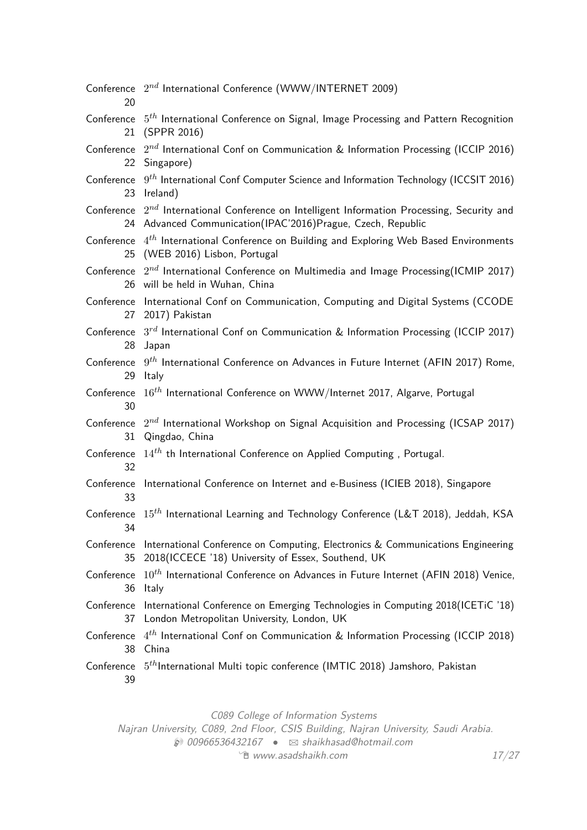| 20               | Conference $2^{nd}$ International Conference (WWW/INTERNET 2009)                                                                                                |
|------------------|-----------------------------------------------------------------------------------------------------------------------------------------------------------------|
| 21               | Conference 5 <sup>th</sup> International Conference on Signal, Image Processing and Pattern Recognition<br>(SPPR 2016)                                          |
|                  | Conference $2^{nd}$ International Conf on Communication & Information Processing (ICCIP 2016)<br>22 Singapore)                                                  |
|                  | Conference $9^{th}$ International Conf Computer Science and Information Technology (ICCSIT 2016)<br>23 Ireland)                                                 |
|                  | Conference $2^{nd}$ International Conference on Intelligent Information Processing, Security and<br>24 Advanced Communication(IPAC'2016)Prague, Czech, Republic |
|                  | Conference $4^{th}$ International Conference on Building and Exploring Web Based Environments<br>25 (WEB 2016) Lisbon, Portugal                                 |
|                  | Conference $2^{nd}$ International Conference on Multimedia and Image Processing(ICMIP 2017)<br>26 will be held in Wuhan, China                                  |
| Conference<br>27 | International Conf on Communication, Computing and Digital Systems (CCODE<br>2017) Pakistan                                                                     |
| 28               | Conference $3^{rd}$ International Conf on Communication & Information Processing (ICCIP 2017)<br>Japan                                                          |
|                  | Conference $9^{th}$ International Conference on Advances in Future Internet (AFIN 2017) Rome,<br>29 Italy                                                       |
| 30               | Conference 16 <sup>th</sup> International Conference on WWW/Internet 2017, Algarve, Portugal                                                                    |
| 31               | Conference $2^{nd}$ International Workshop on Signal Acquisition and Processing (ICSAP 2017)<br>Qingdao, China                                                  |
| Conference<br>32 | $14^{th}$ th International Conference on Applied Computing, Portugal.                                                                                           |
| 33               | Conference International Conference on Internet and e-Business (ICIEB 2018), Singapore                                                                          |
| 34               | Conference $15^{th}$ International Learning and Technology Conference (L&T 2018), Jeddah, KSA                                                                   |
| Conference<br>35 | International Conference on Computing, Electronics & Communications Engineering<br>2018(ICCECE '18) University of Essex, Southend, UK                           |
| Conference<br>36 | $10^{th}$ International Conference on Advances in Future Internet (AFIN 2018) Venice,<br>ltaly                                                                  |
| Conference<br>37 | International Conference on Emerging Technologies in Computing 2018(ICETiC '18)<br>London Metropolitan University, London, UK                                   |
| Conference<br>38 | $4^{th}$ International Conf on Communication & Information Processing (ICCIP 2018)<br>China                                                                     |
| 39               | Conference 5 <sup>th</sup> International Multi topic conference (IMTIC 2018) Jamshoro, Pakistan                                                                 |

C089 College of Information Systems

Najran University, C089, 2nd Floor, CSIS Building, Najran University, Saudi Arabia.

 $\bullet$  00966536432167 •  $\boxtimes$  [shaikhasad@hotmail.com](mailto:shaikhasad@hotmail.com)  $\hat{E}$  [www.asadshaikh.com](http://www.asadshaikh.com)  $17/27$  $17/27$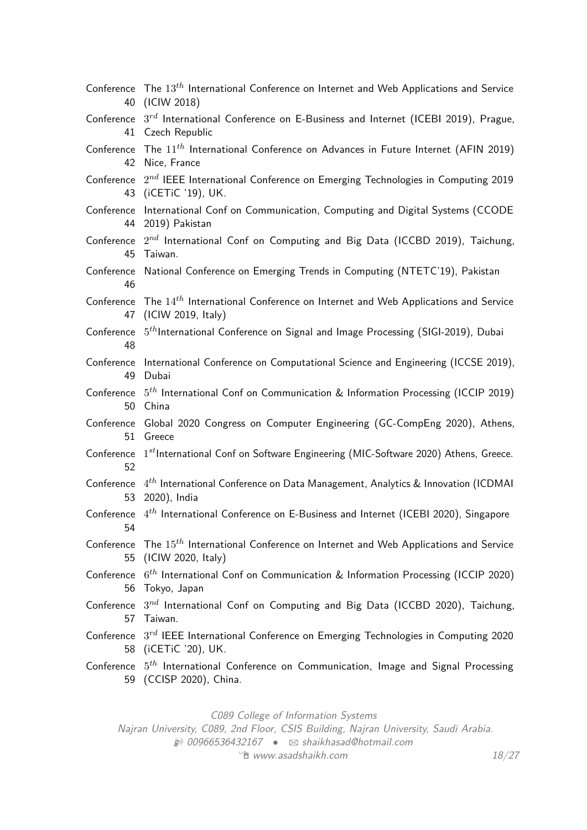| Conference       | The $13^{th}$ International Conference on Internet and Web Applications and Service                                  |
|------------------|----------------------------------------------------------------------------------------------------------------------|
| 40               | (ICIW 2018)                                                                                                          |
| Conference       | $3^{rd}$ International Conference on E-Business and Internet (ICEBI 2019), Prague,                                   |
| 41               | Czech Republic                                                                                                       |
| Conference       | The $11^{th}$ International Conference on Advances in Future Internet (AFIN 2019)                                    |
| 42               | Nice, France                                                                                                         |
| Conference       | $2^{nd}$ IEEE International Conference on Emerging Technologies in Computing 2019                                    |
| 43               | (iCETiC '19), UK.                                                                                                    |
| Conference       | International Conf on Communication, Computing and Digital Systems (CCODE                                            |
| 44               | 2019) Pakistan                                                                                                       |
| Conference       | $2^{nd}$ International Conf on Computing and Big Data (ICCBD 2019), Taichung,                                        |
| 45               | Taiwan.                                                                                                              |
| Conference<br>46 | National Conference on Emerging Trends in Computing (NTETC'19), Pakistan                                             |
| Conference       | The $14^{th}$ International Conference on Internet and Web Applications and Service                                  |
| 47               | (ICIW 2019, Italy)                                                                                                   |
| Conference<br>48 | $5th$ International Conference on Signal and Image Processing (SIGI-2019), Dubai                                     |
| Conference       | International Conference on Computational Science and Engineering (ICCSE 2019),                                      |
| 49               | Dubai                                                                                                                |
| Conference       | $5th$ International Conf on Communication & Information Processing (ICCIP 2019)                                      |
| 50               | China                                                                                                                |
| Conference       | Global 2020 Congress on Computer Engineering (GC-CompEng 2020), Athens,                                              |
| 51               | Greece                                                                                                               |
| Conference<br>52 | $1^{st}$ International Conf on Software Engineering (MIC-Software 2020) Athens, Greece.                              |
| 53               | Conference $4^{th}$ International Conference on Data Management, Analytics & Innovation (ICDMAI<br>2020), India      |
| 54               | Conference $4^{th}$ International Conference on E-Business and Internet (ICEBI 2020), Singapore                      |
| Conference       | The $15^{th}$ International Conference on Internet and Web Applications and Service                                  |
| 55               | (ICIW 2020, Italy)                                                                                                   |
|                  | Conference $6^{th}$ International Conf on Communication & Information Processing (ICCIP 2020)<br>56 Tokyo, Japan     |
| 57               | Conference $3^{nd}$ International Conf on Computing and Big Data (ICCBD 2020), Taichung,<br>Taiwan.                  |
|                  | Conference $3^{rd}$ IEEE International Conference on Emerging Technologies in Computing 2020<br>58 (iCETiC '20), UK. |
| Conference       | $5th$ International Conference on Communication, Image and Signal Processing<br>59 (CCISP 2020), China.              |

C089 College of Information Systems

Najran University, C089, 2nd Floor, CSIS Building, Najran University, Saudi Arabia.

 $\bullet$  00966536432167 •  $\boxtimes$  [shaikhasad@hotmail.com](mailto:shaikhasad@hotmail.com)  $\hat{E}$  [www.asadshaikh.com](http://www.asadshaikh.com)  $18/27$  $18/27$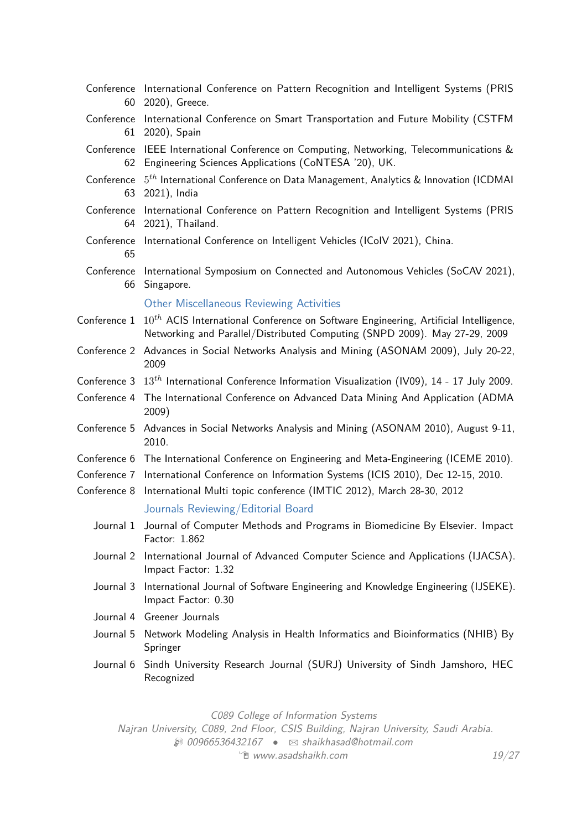|              | Conference International Conference on Pattern Recognition and Intelligent Systems (PRIS<br>60 2020), Greece.                                                                          |
|--------------|----------------------------------------------------------------------------------------------------------------------------------------------------------------------------------------|
|              | Conference International Conference on Smart Transportation and Future Mobility (CSTFM<br>61 2020), Spain                                                                              |
|              | Conference IEEE International Conference on Computing, Networking, Telecommunications &<br>62 Engineering Sciences Applications (CoNTESA '20), UK.                                     |
|              | Conference 5 <sup>th</sup> International Conference on Data Management, Analytics & Innovation (ICDMAI<br>63 2021), India                                                              |
| Conference   | International Conference on Pattern Recognition and Intelligent Systems (PRIS<br>64 2021), Thailand.                                                                                   |
| 65           | Conference International Conference on Intelligent Vehicles (ICoIV 2021), China.                                                                                                       |
|              | Conference International Symposium on Connected and Autonomous Vehicles (SoCAV 2021),<br>66 Singapore.                                                                                 |
|              | <b>Other Miscellaneous Reviewing Activities</b>                                                                                                                                        |
|              | Conference $1$ $10^{th}$ ACIS International Conference on Software Engineering, Artificial Intelligence,<br>Networking and Parallel/Distributed Computing (SNPD 2009). May 27-29, 2009 |
|              | Conference 2 Advances in Social Networks Analysis and Mining (ASONAM 2009), July 20-22,<br>2009                                                                                        |
|              | Conference 3 $13^{th}$ International Conference Information Visualization (IV09), 14 - 17 July 2009.                                                                                   |
| Conference 4 | The International Conference on Advanced Data Mining And Application (ADMA<br>2009)                                                                                                    |
| Conference 5 | Advances in Social Networks Analysis and Mining (ASONAM 2010), August 9-11,<br>2010.                                                                                                   |
|              | Conference 6 The International Conference on Engineering and Meta-Engineering (ICEME 2010).                                                                                            |
|              | Conference 7 International Conference on Information Systems (ICIS 2010), Dec 12-15, 2010.                                                                                             |
|              | Conference 8 International Multi topic conference (IMTIC 2012), March 28-30, 2012                                                                                                      |
|              | Journals Reviewing/Editorial Board                                                                                                                                                     |
|              | Journal 1 Journal of Computer Methods and Programs in Biomedicine By Elsevier. Impact<br>Factor: 1.862                                                                                 |
|              | Journal 2 International Journal of Advanced Computer Science and Applications (IJACSA).<br>Impact Factor: 1.32                                                                         |
|              | Journal 3 International Journal of Software Engineering and Knowledge Engineering (IJSEKE).<br>Impact Factor: 0.30                                                                     |
|              | Journal 4 Greener Journals                                                                                                                                                             |
|              | Journal 5 Network Modeling Analysis in Health Informatics and Bioinformatics (NHIB) By<br>Springer                                                                                     |
|              | Journal 6 Sindh University Research Journal (SURJ) University of Sindh Jamshoro, HEC<br>Recognized                                                                                     |

C089 College of Information Systems

Najran University, C089, 2nd Floor, CSIS Building, Najran University, Saudi Arabia.  $\bullet$  00966536432167 •  $\boxtimes$  [shaikhasad@hotmail.com](mailto:shaikhasad@hotmail.com)

 $\hat{p}$  [www.asadshaikh.com](http://www.asadshaikh.com)  $19/27$  $19/27$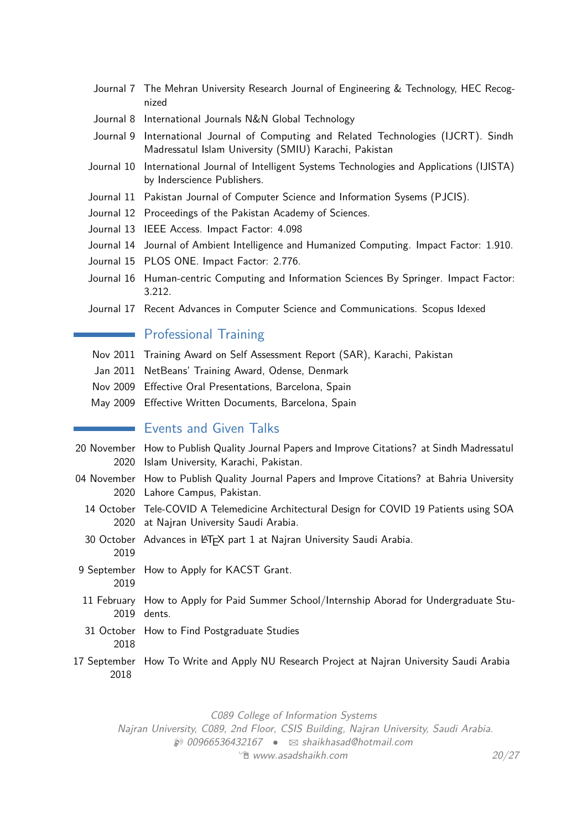- Journal 7 The Mehran University Research Journal of Engineering & Technology, HEC Recognized
- Journal 8 International Journals N&N Global Technology
- Journal 9 International Journal of Computing and Related Technologies (IJCRT). Sindh Madressatul Islam University (SMIU) Karachi, Pakistan
- Journal 10 International Journal of Intelligent Systems Technologies and Applications (IJISTA) by Inderscience Publishers.
- Journal 11 Pakistan Journal of Computer Science and Information Sysems (PJCIS).
- Journal 12 Proceedings of the Pakistan Academy of Sciences.
- Journal 13 IEEE Access. Impact Factor: 4.098
- Journal 14 Journal of Ambient Intelligence and Humanized Computing. Impact Factor: 1.910.
- Journal 15 PLOS ONE. Impact Factor: 2.776.
- Journal 16 Human-centric Computing and Information Sciences By Springer. Impact Factor: 3.212.
- Journal 17 Recent Advances in Computer Science and Communications. Scopus Idexed

# **Professional Training**

- Nov 2011 Training Award on Self Assessment Report (SAR), Karachi, Pakistan
- Jan 2011 NetBeans' Training Award, Odense, Denmark
- Nov 2009 Effective Oral Presentations, Barcelona, Spain
- May 2009 Effective Written Documents, Barcelona, Spain

# **Exents and Given Talks**

- 20 November How to Publish Quality Journal Papers and Improve Citations? at Sindh Madressatul 2020 Islam University, Karachi, Pakistan.
- 04 November How to Publish Quality Journal Papers and Improve Citations? at Bahria University 2020 Lahore Campus, Pakistan.
- 14 October Tele-COVID A Telemedicine Architectural Design for COVID 19 Patients using SOA 2020 at Najran University Saudi Arabia.
- 30 October Advances in L<sup>AT</sup>EX part 1 at Najran University Saudi Arabia.
	- 2019
- 9 September How to Apply for KACST Grant. 2019
- 11 February How to Apply for Paid Summer School/Internship Aborad for Undergraduate Stu-2019 dents.
- 31 October How to Find Postgraduate Studies 2018
- 17 September How To Write and Apply NU Research Project at Najran University Saudi Arabia 2018

C089 College of Information Systems

Najran University, C089, 2nd Floor, CSIS Building, Najran University, Saudi Arabia.

 $\textcircled{1}$  00966536432167 •  $\textcircled{1}$  [shaikhasad@hotmail.com](mailto:shaikhasad@hotmail.com)  $\hat{P}$  [www.asadshaikh.com](http://www.asadshaikh.com) 20[/27](#page-26-0)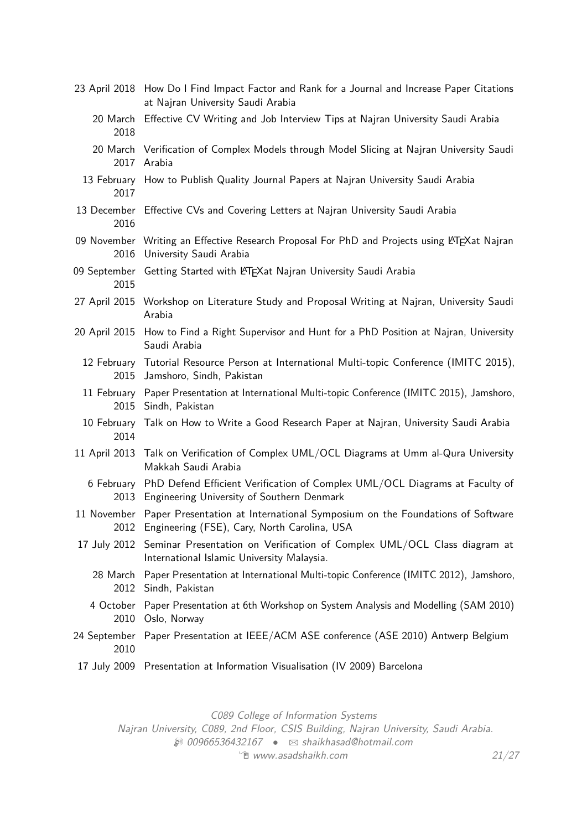|                      | 23 April 2018 How Do I Find Impact Factor and Rank for a Journal and Increase Paper Citations<br>at Najran University Saudi Arabia            |
|----------------------|-----------------------------------------------------------------------------------------------------------------------------------------------|
| 20 March<br>2018     | Effective CV Writing and Job Interview Tips at Najran University Saudi Arabia                                                                 |
|                      | 20 March Verification of Complex Models through Model Slicing at Najran University Saudi<br>2017 Arabia                                       |
| 2017                 | 13 February How to Publish Quality Journal Papers at Najran University Saudi Arabia                                                           |
| 2016                 | 13 December Effective CVs and Covering Letters at Najran University Saudi Arabia                                                              |
| 2016                 | 09 November Writing an Effective Research Proposal For PhD and Projects using LATFXat Najran<br>University Saudi Arabia                       |
| 09 September<br>2015 | Getting Started with LATEXat Najran University Saudi Arabia                                                                                   |
|                      | 27 April 2015 Workshop on Literature Study and Proposal Writing at Najran, University Saudi<br>Arabia                                         |
| 20 April 2015        | How to Find a Right Supervisor and Hunt for a PhD Position at Najran, University<br>Saudi Arabia                                              |
| 2015                 | 12 February Tutorial Resource Person at International Multi-topic Conference (IMITC 2015),<br>Jamshoro, Sindh, Pakistan                       |
| 2015                 | 11 February Paper Presentation at International Multi-topic Conference (IMITC 2015), Jamshoro,<br>Sindh, Pakistan                             |
| 2014                 | 10 February Talk on How to Write a Good Research Paper at Najran, University Saudi Arabia                                                     |
| 11 April 2013        | Talk on Verification of Complex UML/OCL Diagrams at Umm al-Qura University<br>Makkah Saudi Arabia                                             |
| 6 February<br>2013   | PhD Defend Efficient Verification of Complex UML/OCL Diagrams at Faculty of<br>Engineering University of Southern Denmark                     |
|                      | 11 November Paper Presentation at International Symposium on the Foundations of Software<br>2012 Engineering (FSE), Cary, North Carolina, USA |
| 17 July 2012         | Seminar Presentation on Verification of Complex UML/OCL Class diagram at<br>International Islamic University Malaysia.                        |
|                      | 28 March Paper Presentation at International Multi-topic Conference (IMITC 2012), Jamshoro,<br>2012 Sindh, Pakistan                           |
| 2010                 | 4 October Paper Presentation at 6th Workshop on System Analysis and Modelling (SAM 2010)<br>Oslo, Norway                                      |
| 24 September<br>2010 | Paper Presentation at IEEE/ACM ASE conference (ASE 2010) Antwerp Belgium                                                                      |
| 17 July 2009         | Presentation at Information Visualisation (IV 2009) Barcelona                                                                                 |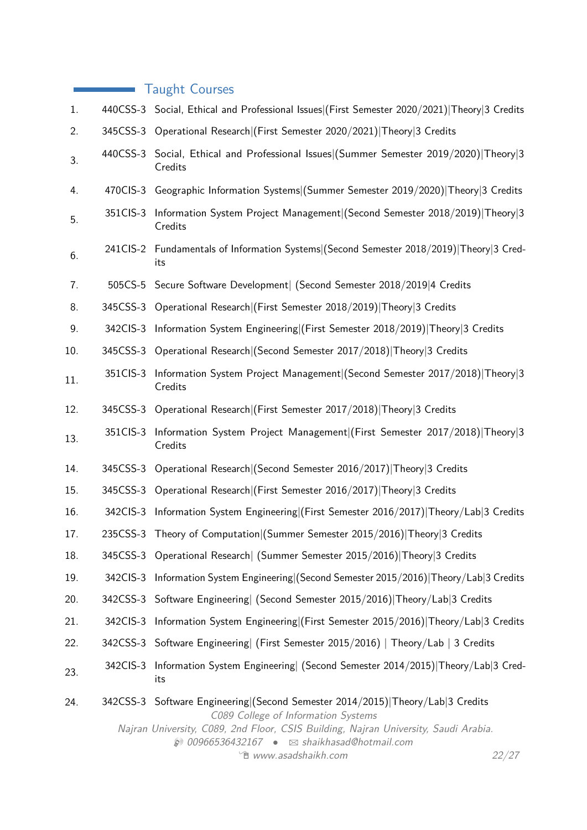|     |           | <b>Taught Courses</b>                                                                                                                                                                                                                                                                                                               |
|-----|-----------|-------------------------------------------------------------------------------------------------------------------------------------------------------------------------------------------------------------------------------------------------------------------------------------------------------------------------------------|
| 1.  |           | 440CSS-3 Social, Ethical and Professional Issues (First Semester 2020/2021) Theory 3 Credits                                                                                                                                                                                                                                        |
| 2.  |           | 345CSS-3 Operational Research   (First Semester 2020/2021)   Theory   3 Credits                                                                                                                                                                                                                                                     |
| 3.  |           | 440CSS-3 Social, Ethical and Professional Issues (Summer Semester 2019/2020) Theory 3<br>Credits                                                                                                                                                                                                                                    |
| 4.  |           | 470CIS-3 Geographic Information Systems (Summer Semester 2019/2020) Theory 3 Credits                                                                                                                                                                                                                                                |
| 5.  | 351 CIS-3 | Information System Project Management   (Second Semester 2018/2019)   Theory 3<br>Credits                                                                                                                                                                                                                                           |
| 6.  |           | 241CIS-2 Fundamentals of Information Systems (Second Semester 2018/2019) Theory 3 Cred-<br>its                                                                                                                                                                                                                                      |
| 7.  |           | 505CS-5 Secure Software Development   (Second Semester 2018/2019   4 Credits                                                                                                                                                                                                                                                        |
| 8.  |           | 345CSS-3 Operational Research (First Semester 2018/2019) Theory 3 Credits                                                                                                                                                                                                                                                           |
| 9.  | 342CIS-3  | Information System Engineering (First Semester 2018/2019) Theory 3 Credits                                                                                                                                                                                                                                                          |
| 10. |           | 345CSS-3 Operational Research   (Second Semester 2017/2018)   Theory 3 Credits                                                                                                                                                                                                                                                      |
| 11. | 351CIS-3  | Information System Project Management   (Second Semester 2017/2018)   Theory 3<br>Credits                                                                                                                                                                                                                                           |
| 12. |           | 345CSS-3 Operational Research (First Semester 2017/2018) Theory 3 Credits                                                                                                                                                                                                                                                           |
| 13. | 351CIS-3  | Information System Project Management (First Semester 2017/2018) Theory 3<br>Credits                                                                                                                                                                                                                                                |
| 14. |           | 345CSS-3 Operational Research   (Second Semester 2016/2017)   Theory   3 Credits                                                                                                                                                                                                                                                    |
| 15. |           | 345CSS-3 Operational Research (First Semester 2016/2017) Theory 3 Credits                                                                                                                                                                                                                                                           |
| 16. | 342CIS-3  | Information System Engineering (First Semester 2016/2017) Theory/Lab 3 Credits                                                                                                                                                                                                                                                      |
| 17. |           | 235CSS-3 Theory of Computation (Summer Semester 2015/2016) Theory 3 Credits                                                                                                                                                                                                                                                         |
| 18. |           | 345CSS-3 Operational Research (Summer Semester 2015/2016) Theory 3 Credits                                                                                                                                                                                                                                                          |
| 19. | 342CIS-3  | Information System Engineering (Second Semester 2015/2016) Theory/Lab 3 Credits                                                                                                                                                                                                                                                     |
| 20. |           | 342CSS-3 Software Engineering (Second Semester 2015/2016) Theory/Lab 3 Credits                                                                                                                                                                                                                                                      |
| 21. | 342CIS-3  | Information System Engineering (First Semester 2015/2016) Theory/Lab 3 Credits                                                                                                                                                                                                                                                      |
| 22. |           | 342CSS-3 Software Engineering (First Semester 2015/2016)   Theory/Lab   3 Credits                                                                                                                                                                                                                                                   |
| 23. | 342CIS-3  | Information System Engineering (Second Semester 2014/2015) Theory/Lab 3 Cred-<br>its                                                                                                                                                                                                                                                |
| 24. |           | 342CSS-3 Software Engineering (Second Semester 2014/2015) Theory/Lab 3 Credits<br>C089 College of Information Systems<br>Najran University, C089, 2nd Floor, CSIS Building, Najran University, Saudi Arabia.<br>$\circledR$ 00966536432167 $\bullet$ $\boxtimes$ shaikhasad@hotmail.com<br><sup>"</sup> www.asadshaikh.com<br>22/27 |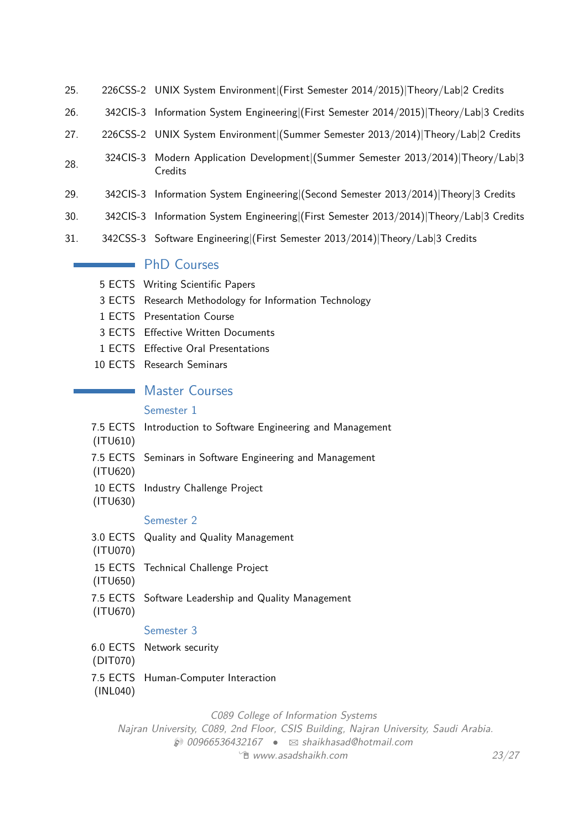- 25. 226CSS-2 UNIX System Environment|(First Semester 2014/2015)|Theory/Lab|2 Credits
- 26. 342CIS-3 Information System Engineering|(First Semester 2014/2015)|Theory/Lab|3 Credits
- 27. 226CSS-2 UNIX System Environment|(Summer Semester 2013/2014)|Theory/Lab|2 Credits
- 28. 324CIS-3 Modern Application Development|(Summer Semester 2013/2014)|Theory/Lab|3 **Credits**
- 29. 342CIS-3 Information System Engineering|(Second Semester 2013/2014)|Theory|3 Credits
- 30. 342CIS-3 Information System Engineering|(First Semester 2013/2014)|Theory/Lab|3 Credits
- 31. 342CSS-3 Software Engineering|(First Semester 2013/2014)|Theory/Lab|3 Credits

# **PhD Courses**

- 5 ECTS Writing Scientific Papers
- 3 ECTS Research Methodology for Information Technology
- 1 ECTS Presentation Course
- 3 ECTS Effective Written Documents
- 1 ECTS Effective Oral Presentations
- 10 ECTS Research Seminars

# **Master Courses**

#### Semester 1

- 7.5 ECTS Introduction to Software Engineering and Management
- (ITU610)
- 7.5 ECTS Seminars in Software Engineering and Management
- (ITU620)
- 10 ECTS Industry Challenge Project
- (ITU630)

#### Semester 2

- 3.0 ECTS Quality and Quality Management
- (ITU070)
- 15 ECTS Technical Challenge Project
- (ITU650)
- 7.5 ECTS Software Leadership and Quality Management
- (ITU670)

## Semester 3

- 6.0 ECTS Network security
- (DIT070)
- 7.5 ECTS Human-Computer Interaction

#### (INL040)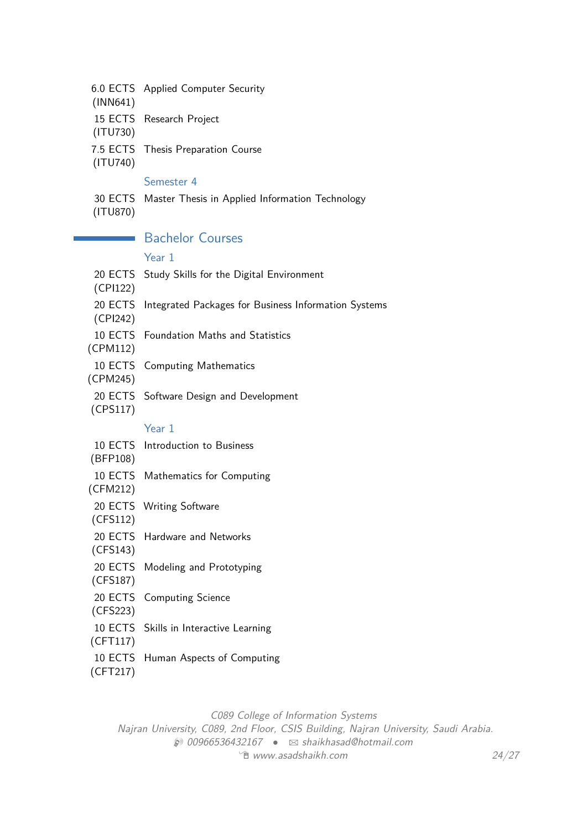| (INN641)            | 6.0 ECTS Applied Computer Security                   |
|---------------------|------------------------------------------------------|
| (ITU730)            | 15 ECTS Research Project                             |
| (ITU740)            | 7.5 ECTS Thesis Preparation Course                   |
|                     | Semester 4                                           |
| 30 ECTS<br>(ITU870) | Master Thesis in Applied Information Technology      |
|                     | <b>Bachelor Courses</b>                              |
|                     | Year 1                                               |
| 20 ECTS<br>(CPI122) | Study Skills for the Digital Environment             |
| 20 ECTS<br>(CPI242) | Integrated Packages for Business Information Systems |
| (CPM112)            | 10 ECTS Foundation Maths and Statistics              |
| 10 ECTS<br>(CPM245) | <b>Computing Mathematics</b>                         |
| 20 ECTS<br>(CPS117) | Software Design and Development                      |
|                     | Year 1                                               |
| (BFP108)            | 10 ECTS Introduction to Business                     |
| (CFM212)            | 10 ECTS Mathematics for Computing                    |
| (CFS112)            | 20 ECTS Writing Software                             |
| (CFS143)            | 20 ECTS Hardware and Networks                        |
| 20 ECTS<br>(CFS187) | Modeling and Prototyping                             |
| 20 ECTS<br>(CFS223) | <b>Computing Science</b>                             |
| (CFT117)            | 10 ECTS Skills in Interactive Learning               |
| (CFT217)            | 10 ECTS Human Aspects of Computing                   |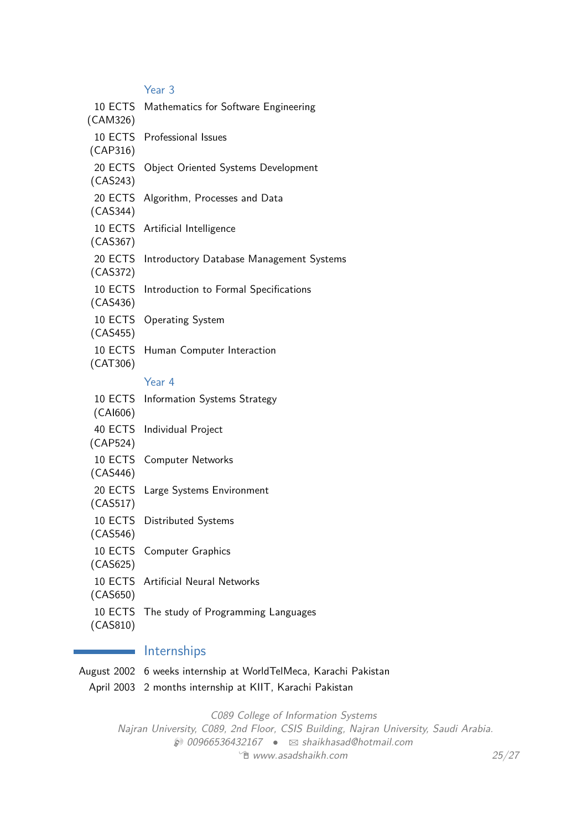Year 3

| 10 ECTS<br>(CAM326) | Mathematics for Software Engineering       |
|---------------------|--------------------------------------------|
| 10 ECTS<br>(CAP316) | Professional Issues                        |
| 20 ECTS<br>(CAS243) | Object Oriented Systems Development        |
| 20 ECTS<br>(CAS344) | Algorithm, Processes and Data              |
| 10 ECTS<br>(CAS367) | Artificial Intelligence                    |
| 20 ECTS<br>(CAS372) | Introductory Database Management Systems   |
| 10 ECTS<br>(CAS436) | Introduction to Formal Specifications      |
| 10 ECTS<br>(CAS455) | <b>Operating System</b>                    |
| 10 ECTS<br>(CAT306) | Human Computer Interaction                 |
|                     | Year 4                                     |
| 10 ECTS<br>(CAl606) | Information Systems Strategy               |
| 40 ECTS<br>(CAP524) | Individual Project                         |
| 10 ECTS<br>(CAS446) | <b>Computer Networks</b>                   |
| 20 ECTS<br>(CAS517) | Large Systems Environment                  |
| 10 ECTS<br>(CAS546) | <b>Distributed Systems</b>                 |
| (CAS625)            | 10 ECTS Computer Graphics                  |
| (CAS650)            | 10 ECTS Artificial Neural Networks         |
|                     | 10 ECTS The study of Programming Languages |

(CAS810)

# **Internships**

August 2002 6 weeks internship at WorldTelMeca, Karachi Pakistan April 2003 2 months internship at KIIT, Karachi Pakistan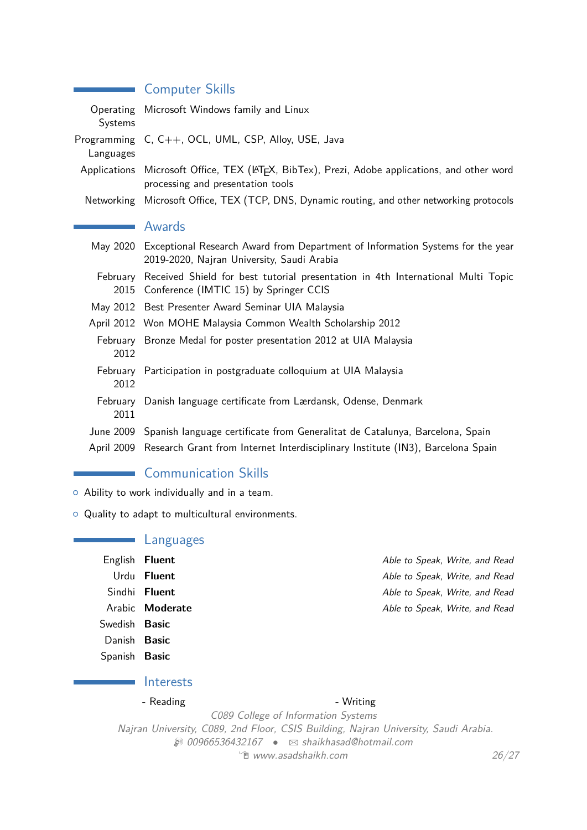| $\sim$               | <b>Computer Skills</b>                                                                                                                |
|----------------------|---------------------------------------------------------------------------------------------------------------------------------------|
| Operating<br>Systems | Microsoft Windows family and Linux                                                                                                    |
| Languages            | Programming C, C++, OCL, UML, CSP, Alloy, USE, Java                                                                                   |
|                      | Applications Microsoft Office, TEX (LATEX, BibTex), Prezi, Adobe applications, and other word<br>processing and presentation tools    |
| Networking           | Microsoft Office, TEX (TCP, DNS, Dynamic routing, and other networking protocols                                                      |
|                      | <b>Awards</b>                                                                                                                         |
|                      | May 2020 Exceptional Research Award from Department of Information Systems for the year<br>2019-2020, Najran University, Saudi Arabia |
| February<br>2015     | Received Shield for best tutorial presentation in 4th International Multi Topic<br>Conference (IMTIC 15) by Springer CCIS             |
|                      | May 2012 Best Presenter Award Seminar UIA Malaysia                                                                                    |
|                      | April 2012 Won MOHE Malaysia Common Wealth Scholarship 2012                                                                           |
| 2012                 | February Bronze Medal for poster presentation 2012 at UIA Malaysia                                                                    |
| February<br>2012     | Participation in postgraduate colloquium at UIA Malaysia                                                                              |
| February<br>2011     | Danish language certificate from Lærdansk, Odense, Denmark                                                                            |
|                      | June 2009 Spanish language certificate from Generalitat de Catalunya, Barcelona, Spain                                                |
| April 2009           | Research Grant from Internet Interdisciplinary Institute (IN3), Barcelona Spain                                                       |

# **Communication Skills**

- $\circ$  Ability to work individually and in a team.
- <sup>o</sup> Quality to adapt to multicultural environments.

# Languages

English **Fluent English Fluent Fluent English Fluent English Fluent Able to Speak, Write, and Read** Urdu **Fluent Able to Speak, Write, and Read** Sindhi **Fluent Fluent Able to Speak, Write, and Read** Arabic **Moderate Able to Speak, Write, and Read** 

Swedish **Basic**

Danish **Basic**

Spanish **Basic**

# Interests

- Reading and the set of the Second Second Second Second Second Second Second Second Second Second Second Second Second Second Second Second Second Second Second Second Second Second Second Second Second Second Second Seco